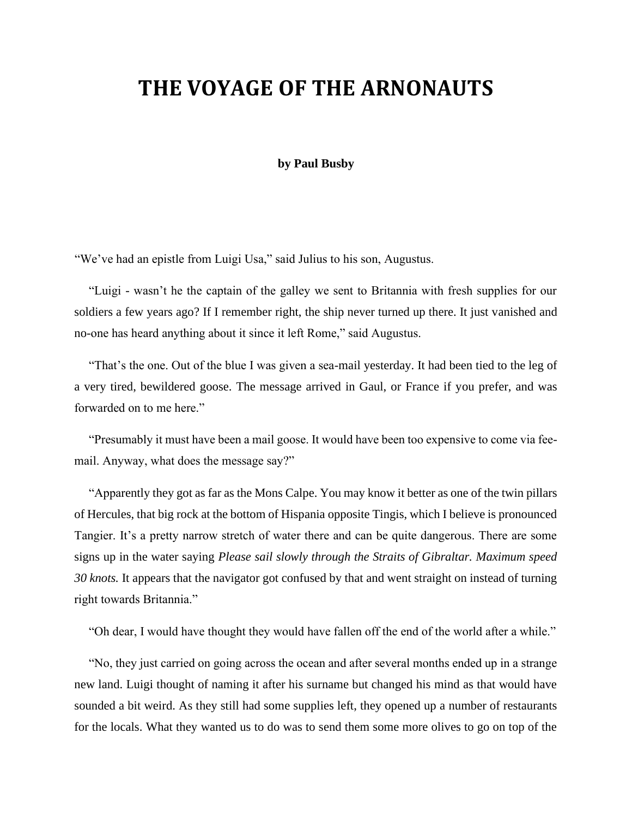## **THE VOYAGE OF THE ARNONAUTS**

#### **by Paul Busby**

"We've had an epistle from Luigi Usa," said Julius to his son, Augustus.

"Luigi - wasn't he the captain of the galley we sent to Britannia with fresh supplies for our soldiers a few years ago? If I remember right, the ship never turned up there. It just vanished and no-one has heard anything about it since it left Rome," said Augustus.

"That's the one. Out of the blue I was given a sea-mail yesterday. It had been tied to the leg of a very tired, bewildered goose. The message arrived in Gaul, or France if you prefer, and was forwarded on to me here."

"Presumably it must have been a mail goose. It would have been too expensive to come via feemail. Anyway, what does the message say?"

"Apparently they got as far as the Mons Calpe. You may know it better as one of the twin pillars of Hercules, that big rock at the bottom of Hispania opposite Tingis, which I believe is pronounced Tangier. It's a pretty narrow stretch of water there and can be quite dangerous. There are some signs up in the water saying *Please sail slowly through the Straits of Gibraltar. Maximum speed 30 knots.* It appears that the navigator got confused by that and went straight on instead of turning right towards Britannia."

"Oh dear, I would have thought they would have fallen off the end of the world after a while."

"No, they just carried on going across the ocean and after several months ended up in a strange new land. Luigi thought of naming it after his surname but changed his mind as that would have sounded a bit weird. As they still had some supplies left, they opened up a number of restaurants for the locals. What they wanted us to do was to send them some more olives to go on top of the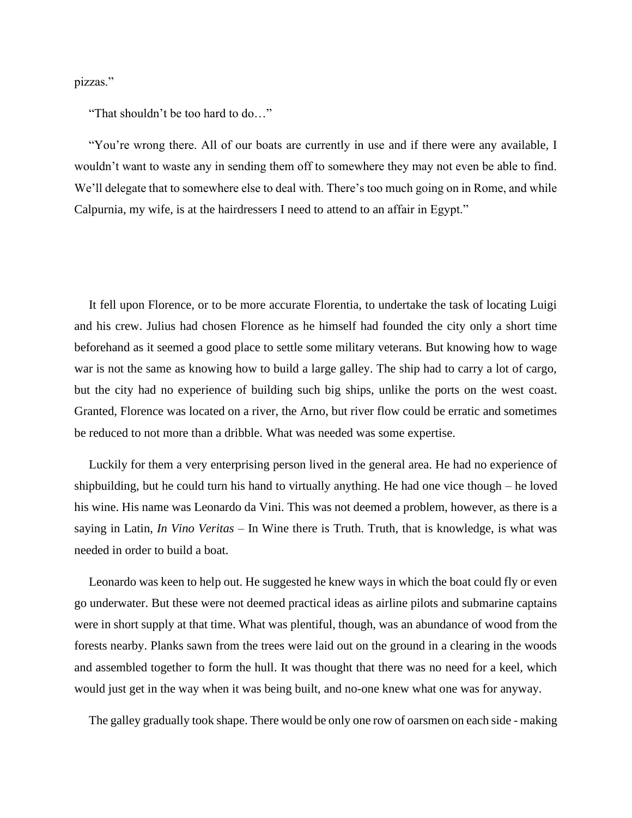pizzas."

"That shouldn't be too hard to do…"

"You're wrong there. All of our boats are currently in use and if there were any available, I wouldn't want to waste any in sending them off to somewhere they may not even be able to find. We'll delegate that to somewhere else to deal with. There's too much going on in Rome, and while Calpurnia, my wife, is at the hairdressers I need to attend to an affair in Egypt."

It fell upon Florence, or to be more accurate Florentia, to undertake the task of locating Luigi and his crew. Julius had chosen Florence as he himself had founded the city only a short time beforehand as it seemed a good place to settle some military veterans. But knowing how to wage war is not the same as knowing how to build a large galley. The ship had to carry a lot of cargo, but the city had no experience of building such big ships, unlike the ports on the west coast. Granted, Florence was located on a river, the Arno, but river flow could be erratic and sometimes be reduced to not more than a dribble. What was needed was some expertise.

Luckily for them a very enterprising person lived in the general area. He had no experience of shipbuilding, but he could turn his hand to virtually anything. He had one vice though – he loved his wine. His name was Leonardo da Vini. This was not deemed a problem, however, as there is a saying in Latin, *In Vino Veritas* – In Wine there is Truth. Truth, that is knowledge, is what was needed in order to build a boat.

Leonardo was keen to help out. He suggested he knew ways in which the boat could fly or even go underwater. But these were not deemed practical ideas as airline pilots and submarine captains were in short supply at that time. What was plentiful, though, was an abundance of wood from the forests nearby. Planks sawn from the trees were laid out on the ground in a clearing in the woods and assembled together to form the hull. It was thought that there was no need for a keel, which would just get in the way when it was being built, and no-one knew what one was for anyway.

The galley gradually took shape. There would be only one row of oarsmen on each side - making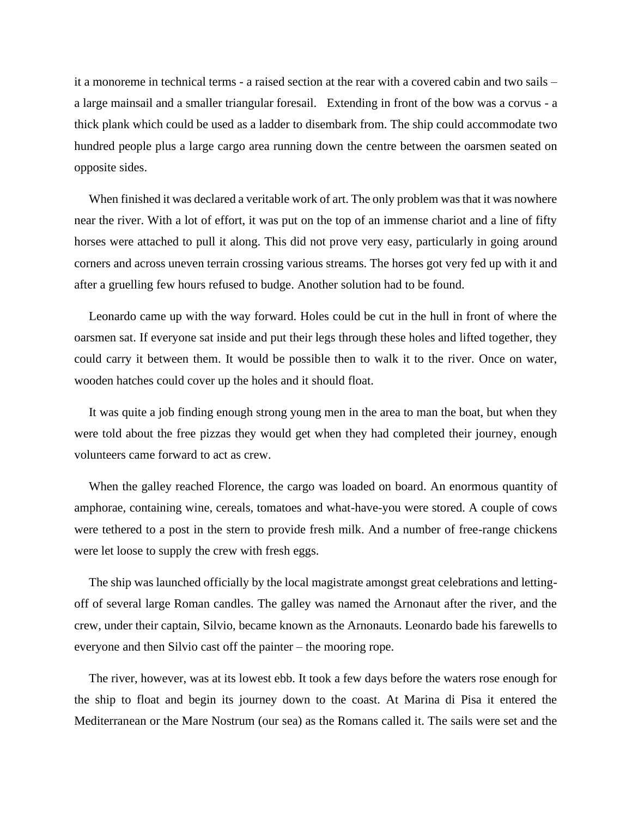it a monoreme in technical terms - a raised section at the rear with a covered cabin and two sails – a large mainsail and a smaller triangular foresail. Extending in front of the bow was a corvus - a thick plank which could be used as a ladder to disembark from. The ship could accommodate two hundred people plus a large cargo area running down the centre between the oarsmen seated on opposite sides.

When finished it was declared a veritable work of art. The only problem was that it was nowhere near the river. With a lot of effort, it was put on the top of an immense chariot and a line of fifty horses were attached to pull it along. This did not prove very easy, particularly in going around corners and across uneven terrain crossing various streams. The horses got very fed up with it and after a gruelling few hours refused to budge. Another solution had to be found.

Leonardo came up with the way forward. Holes could be cut in the hull in front of where the oarsmen sat. If everyone sat inside and put their legs through these holes and lifted together, they could carry it between them. It would be possible then to walk it to the river. Once on water, wooden hatches could cover up the holes and it should float.

It was quite a job finding enough strong young men in the area to man the boat, but when they were told about the free pizzas they would get when they had completed their journey, enough volunteers came forward to act as crew.

When the galley reached Florence, the cargo was loaded on board. An enormous quantity of amphorae, containing wine, cereals, tomatoes and what-have-you were stored. A couple of cows were tethered to a post in the stern to provide fresh milk. And a number of free-range chickens were let loose to supply the crew with fresh eggs.

The ship was launched officially by the local magistrate amongst great celebrations and lettingoff of several large Roman candles. The galley was named the Arnonaut after the river, and the crew, under their captain, Silvio, became known as the Arnonauts. Leonardo bade his farewells to everyone and then Silvio cast off the painter – the mooring rope.

The river, however, was at its lowest ebb. It took a few days before the waters rose enough for the ship to float and begin its journey down to the coast. At Marina di Pisa it entered the Mediterranean or the Mare Nostrum (our sea) as the Romans called it. The sails were set and the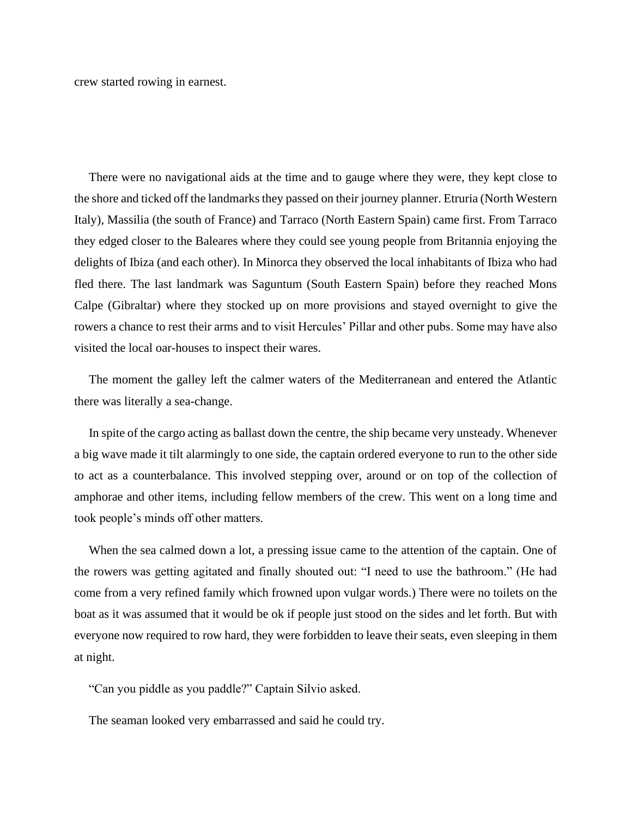crew started rowing in earnest.

There were no navigational aids at the time and to gauge where they were, they kept close to the shore and ticked off the landmarks they passed on their journey planner. Etruria (North Western Italy), Massilia (the south of France) and Tarraco (North Eastern Spain) came first. From Tarraco they edged closer to the Baleares where they could see young people from Britannia enjoying the delights of Ibiza (and each other). In Minorca they observed the local inhabitants of Ibiza who had fled there. The last landmark was Saguntum (South Eastern Spain) before they reached Mons Calpe (Gibraltar) where they stocked up on more provisions and stayed overnight to give the rowers a chance to rest their arms and to visit Hercules' Pillar and other pubs. Some may have also visited the local oar-houses to inspect their wares.

The moment the galley left the calmer waters of the Mediterranean and entered the Atlantic there was literally a sea-change.

In spite of the cargo acting as ballast down the centre, the ship became very unsteady. Whenever a big wave made it tilt alarmingly to one side, the captain ordered everyone to run to the other side to act as a counterbalance. This involved stepping over, around or on top of the collection of amphorae and other items, including fellow members of the crew. This went on a long time and took people's minds off other matters.

When the sea calmed down a lot, a pressing issue came to the attention of the captain. One of the rowers was getting agitated and finally shouted out: "I need to use the bathroom." (He had come from a very refined family which frowned upon vulgar words.) There were no toilets on the boat as it was assumed that it would be ok if people just stood on the sides and let forth. But with everyone now required to row hard, they were forbidden to leave their seats, even sleeping in them at night.

"Can you piddle as you paddle?" Captain Silvio asked.

The seaman looked very embarrassed and said he could try.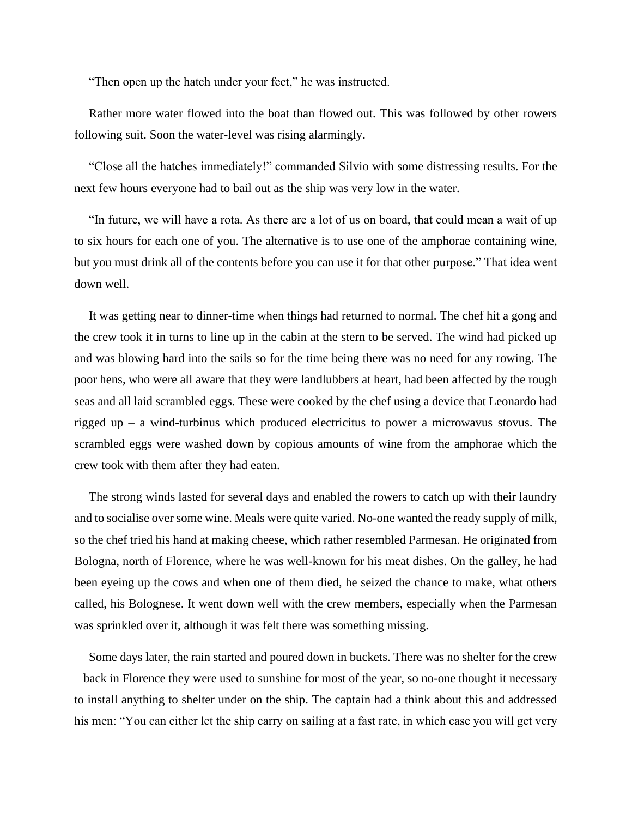"Then open up the hatch under your feet," he was instructed.

Rather more water flowed into the boat than flowed out. This was followed by other rowers following suit. Soon the water-level was rising alarmingly.

"Close all the hatches immediately!" commanded Silvio with some distressing results. For the next few hours everyone had to bail out as the ship was very low in the water.

"In future, we will have a rota. As there are a lot of us on board, that could mean a wait of up to six hours for each one of you. The alternative is to use one of the amphorae containing wine, but you must drink all of the contents before you can use it for that other purpose." That idea went down well.

It was getting near to dinner-time when things had returned to normal. The chef hit a gong and the crew took it in turns to line up in the cabin at the stern to be served. The wind had picked up and was blowing hard into the sails so for the time being there was no need for any rowing. The poor hens, who were all aware that they were landlubbers at heart, had been affected by the rough seas and all laid scrambled eggs. These were cooked by the chef using a device that Leonardo had rigged up – a wind-turbinus which produced electricitus to power a microwavus stovus. The scrambled eggs were washed down by copious amounts of wine from the amphorae which the crew took with them after they had eaten.

The strong winds lasted for several days and enabled the rowers to catch up with their laundry and to socialise over some wine. Meals were quite varied. No-one wanted the ready supply of milk, so the chef tried his hand at making cheese, which rather resembled Parmesan. He originated from Bologna, north of Florence, where he was well-known for his meat dishes. On the galley, he had been eyeing up the cows and when one of them died, he seized the chance to make, what others called, his Bolognese. It went down well with the crew members, especially when the Parmesan was sprinkled over it, although it was felt there was something missing.

Some days later, the rain started and poured down in buckets. There was no shelter for the crew – back in Florence they were used to sunshine for most of the year, so no-one thought it necessary to install anything to shelter under on the ship. The captain had a think about this and addressed his men: "You can either let the ship carry on sailing at a fast rate, in which case you will get very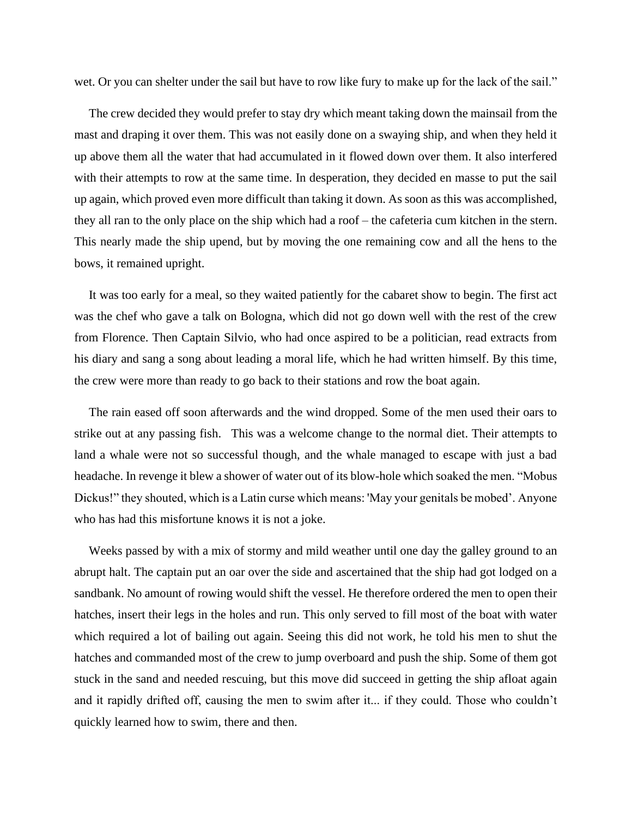wet. Or you can shelter under the sail but have to row like fury to make up for the lack of the sail."

The crew decided they would prefer to stay dry which meant taking down the mainsail from the mast and draping it over them. This was not easily done on a swaying ship, and when they held it up above them all the water that had accumulated in it flowed down over them. It also interfered with their attempts to row at the same time. In desperation, they decided en masse to put the sail up again, which proved even more difficult than taking it down. As soon as this was accomplished, they all ran to the only place on the ship which had a roof – the cafeteria cum kitchen in the stern. This nearly made the ship upend, but by moving the one remaining cow and all the hens to the bows, it remained upright.

It was too early for a meal, so they waited patiently for the cabaret show to begin. The first act was the chef who gave a talk on Bologna, which did not go down well with the rest of the crew from Florence. Then Captain Silvio, who had once aspired to be a politician, read extracts from his diary and sang a song about leading a moral life, which he had written himself. By this time, the crew were more than ready to go back to their stations and row the boat again.

The rain eased off soon afterwards and the wind dropped. Some of the men used their oars to strike out at any passing fish. This was a welcome change to the normal diet. Their attempts to land a whale were not so successful though, and the whale managed to escape with just a bad headache. In revenge it blew a shower of water out of its blow-hole which soaked the men. "Mobus Dickus!" they shouted, which is a Latin curse which means: 'May your genitals be mobed'. Anyone who has had this misfortune knows it is not a joke.

Weeks passed by with a mix of stormy and mild weather until one day the galley ground to an abrupt halt. The captain put an oar over the side and ascertained that the ship had got lodged on a sandbank. No amount of rowing would shift the vessel. He therefore ordered the men to open their hatches, insert their legs in the holes and run. This only served to fill most of the boat with water which required a lot of bailing out again. Seeing this did not work, he told his men to shut the hatches and commanded most of the crew to jump overboard and push the ship. Some of them got stuck in the sand and needed rescuing, but this move did succeed in getting the ship afloat again and it rapidly drifted off, causing the men to swim after it... if they could. Those who couldn't quickly learned how to swim, there and then.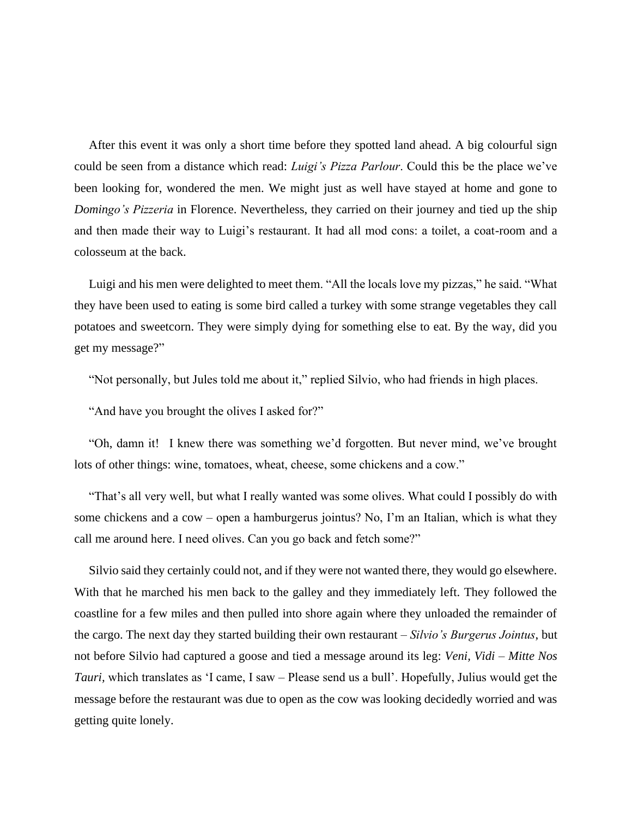After this event it was only a short time before they spotted land ahead. A big colourful sign could be seen from a distance which read: *Luigi's Pizza Parlour*. Could this be the place we've been looking for, wondered the men. We might just as well have stayed at home and gone to *Domingo's Pizzeria* in Florence. Nevertheless, they carried on their journey and tied up the ship and then made their way to Luigi's restaurant. It had all mod cons: a toilet, a coat-room and a colosseum at the back.

Luigi and his men were delighted to meet them. "All the locals love my pizzas," he said. "What they have been used to eating is some bird called a turkey with some strange vegetables they call potatoes and sweetcorn. They were simply dying for something else to eat. By the way, did you get my message?"

"Not personally, but Jules told me about it," replied Silvio, who had friends in high places.

"And have you brought the olives I asked for?"

"Oh, damn it! I knew there was something we'd forgotten. But never mind, we've brought lots of other things: wine, tomatoes, wheat, cheese, some chickens and a cow."

"That's all very well, but what I really wanted was some olives. What could I possibly do with some chickens and a cow – open a hamburgerus jointus? No, I'm an Italian, which is what they call me around here. I need olives. Can you go back and fetch some?"

Silvio said they certainly could not, and if they were not wanted there, they would go elsewhere. With that he marched his men back to the galley and they immediately left. They followed the coastline for a few miles and then pulled into shore again where they unloaded the remainder of the cargo. The next day they started building their own restaurant – *Silvio's Burgerus Jointus*, but not before Silvio had captured a goose and tied a message around its leg: *Veni, Vidi – Mitte Nos Tauri,* which translates as 'I came, I saw – Please send us a bull'. Hopefully, Julius would get the message before the restaurant was due to open as the cow was looking decidedly worried and was getting quite lonely.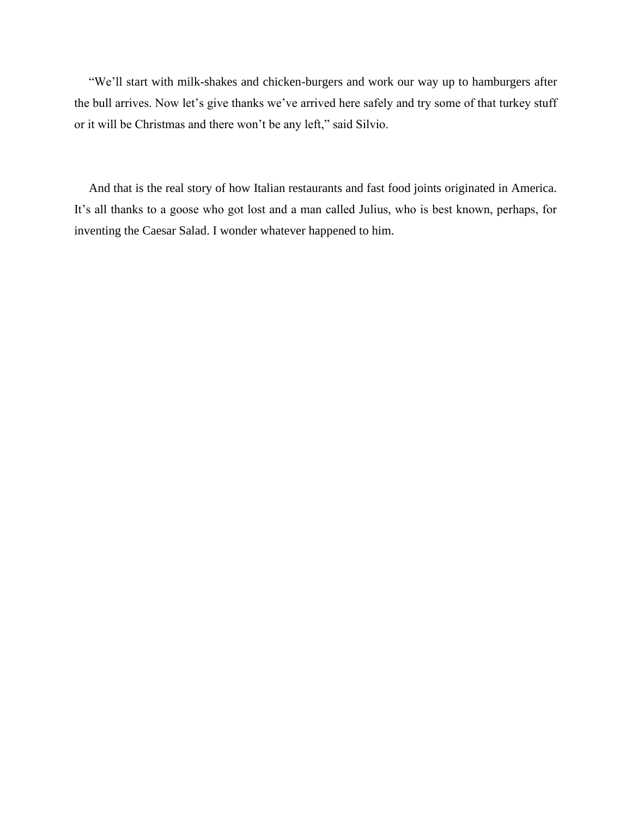"We'll start with milk-shakes and chicken-burgers and work our way up to hamburgers after the bull arrives. Now let's give thanks we've arrived here safely and try some of that turkey stuff or it will be Christmas and there won't be any left," said Silvio.

And that is the real story of how Italian restaurants and fast food joints originated in America. It's all thanks to a goose who got lost and a man called Julius, who is best known, perhaps, for inventing the Caesar Salad. I wonder whatever happened to him.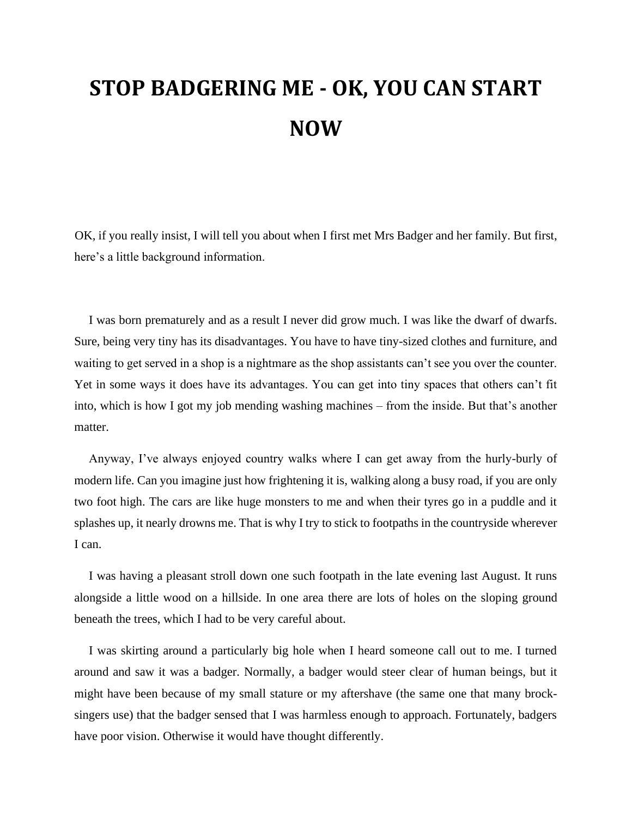# **STOP BADGERING ME - OK, YOU CAN START NOW**

OK, if you really insist, I will tell you about when I first met Mrs Badger and her family. But first, here's a little background information.

I was born prematurely and as a result I never did grow much. I was like the dwarf of dwarfs. Sure, being very tiny has its disadvantages. You have to have tiny-sized clothes and furniture, and waiting to get served in a shop is a nightmare as the shop assistants can't see you over the counter. Yet in some ways it does have its advantages. You can get into tiny spaces that others can't fit into, which is how I got my job mending washing machines – from the inside. But that's another matter.

Anyway, I've always enjoyed country walks where I can get away from the hurly-burly of modern life. Can you imagine just how frightening it is, walking along a busy road, if you are only two foot high. The cars are like huge monsters to me and when their tyres go in a puddle and it splashes up, it nearly drowns me. That is why I try to stick to footpaths in the countryside wherever I can.

I was having a pleasant stroll down one such footpath in the late evening last August. It runs alongside a little wood on a hillside. In one area there are lots of holes on the sloping ground beneath the trees, which I had to be very careful about.

I was skirting around a particularly big hole when I heard someone call out to me. I turned around and saw it was a badger. Normally, a badger would steer clear of human beings, but it might have been because of my small stature or my aftershave (the same one that many brocksingers use) that the badger sensed that I was harmless enough to approach. Fortunately, badgers have poor vision. Otherwise it would have thought differently.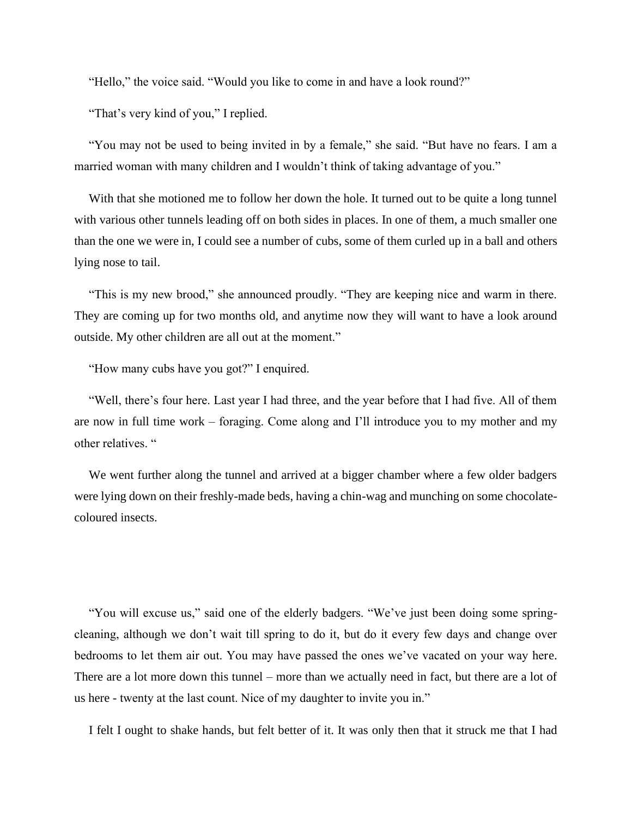"Hello," the voice said. "Would you like to come in and have a look round?"

"That's very kind of you," I replied.

"You may not be used to being invited in by a female," she said. "But have no fears. I am a married woman with many children and I wouldn't think of taking advantage of you."

With that she motioned me to follow her down the hole. It turned out to be quite a long tunnel with various other tunnels leading off on both sides in places. In one of them, a much smaller one than the one we were in, I could see a number of cubs, some of them curled up in a ball and others lying nose to tail.

"This is my new brood," she announced proudly. "They are keeping nice and warm in there. They are coming up for two months old, and anytime now they will want to have a look around outside. My other children are all out at the moment."

"How many cubs have you got?" I enquired.

"Well, there's four here. Last year I had three, and the year before that I had five. All of them are now in full time work – foraging. Come along and I'll introduce you to my mother and my other relatives. "

We went further along the tunnel and arrived at a bigger chamber where a few older badgers were lying down on their freshly-made beds, having a chin-wag and munching on some chocolatecoloured insects.

"You will excuse us," said one of the elderly badgers. "We've just been doing some springcleaning, although we don't wait till spring to do it, but do it every few days and change over bedrooms to let them air out. You may have passed the ones we've vacated on your way here. There are a lot more down this tunnel – more than we actually need in fact, but there are a lot of us here - twenty at the last count. Nice of my daughter to invite you in."

I felt I ought to shake hands, but felt better of it. It was only then that it struck me that I had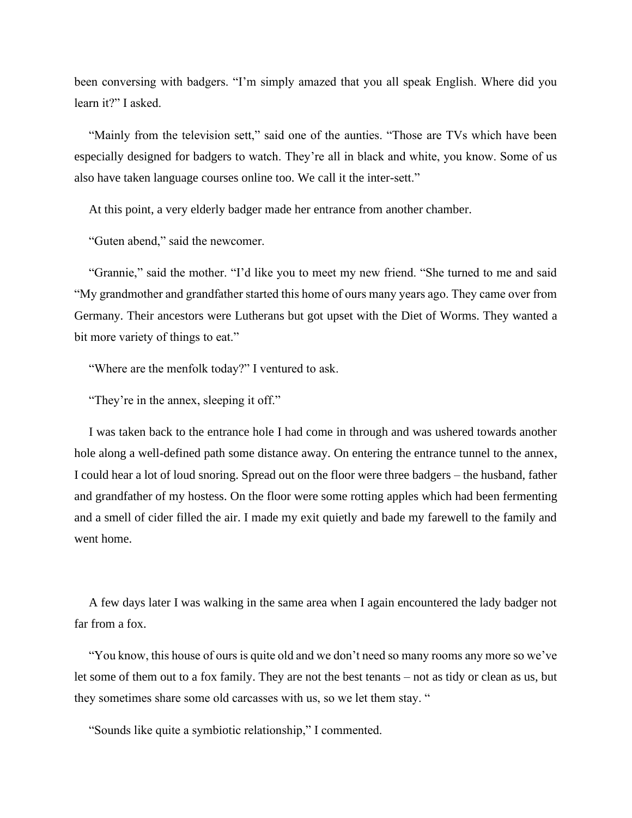been conversing with badgers. "I'm simply amazed that you all speak English. Where did you learn it?" I asked.

"Mainly from the television sett," said one of the aunties. "Those are TVs which have been especially designed for badgers to watch. They're all in black and white, you know. Some of us also have taken language courses online too. We call it the inter-sett."

At this point, a very elderly badger made her entrance from another chamber.

"Guten abend," said the newcomer.

"Grannie," said the mother. "I'd like you to meet my new friend. "She turned to me and said "My grandmother and grandfather started this home of ours many years ago. They came over from Germany. Their ancestors were Lutherans but got upset with the Diet of Worms. They wanted a bit more variety of things to eat."

"Where are the menfolk today?" I ventured to ask.

"They're in the annex, sleeping it off."

I was taken back to the entrance hole I had come in through and was ushered towards another hole along a well-defined path some distance away. On entering the entrance tunnel to the annex, I could hear a lot of loud snoring. Spread out on the floor were three badgers – the husband, father and grandfather of my hostess. On the floor were some rotting apples which had been fermenting and a smell of cider filled the air. I made my exit quietly and bade my farewell to the family and went home.

A few days later I was walking in the same area when I again encountered the lady badger not far from a fox.

"You know, this house of ours is quite old and we don't need so many rooms any more so we've let some of them out to a fox family. They are not the best tenants – not as tidy or clean as us, but they sometimes share some old carcasses with us, so we let them stay. "

"Sounds like quite a symbiotic relationship," I commented.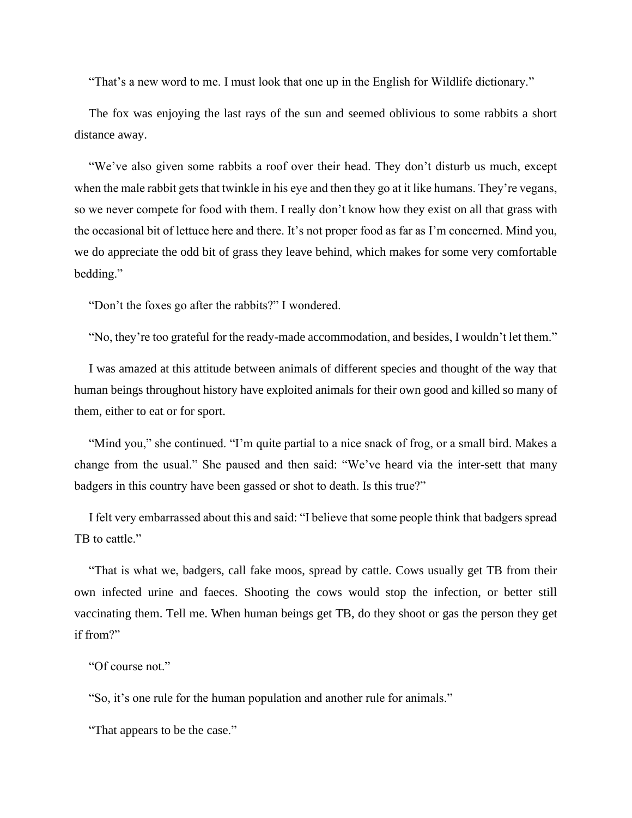"That's a new word to me. I must look that one up in the English for Wildlife dictionary."

The fox was enjoying the last rays of the sun and seemed oblivious to some rabbits a short distance away.

"We've also given some rabbits a roof over their head. They don't disturb us much, except when the male rabbit gets that twinkle in his eye and then they go at it like humans. They're vegans, so we never compete for food with them. I really don't know how they exist on all that grass with the occasional bit of lettuce here and there. It's not proper food as far as I'm concerned. Mind you, we do appreciate the odd bit of grass they leave behind, which makes for some very comfortable bedding."

"Don't the foxes go after the rabbits?" I wondered.

"No, they're too grateful for the ready-made accommodation, and besides, I wouldn't let them."

I was amazed at this attitude between animals of different species and thought of the way that human beings throughout history have exploited animals for their own good and killed so many of them, either to eat or for sport.

"Mind you," she continued. "I'm quite partial to a nice snack of frog, or a small bird. Makes a change from the usual." She paused and then said: "We've heard via the inter-sett that many badgers in this country have been gassed or shot to death. Is this true?"

I felt very embarrassed about this and said: "I believe that some people think that badgers spread TB to cattle."

"That is what we, badgers, call fake moos, spread by cattle. Cows usually get TB from their own infected urine and faeces. Shooting the cows would stop the infection, or better still vaccinating them. Tell me. When human beings get TB, do they shoot or gas the person they get if from?"

```
"Of course not."
```
"So, it's one rule for the human population and another rule for animals."

"That appears to be the case."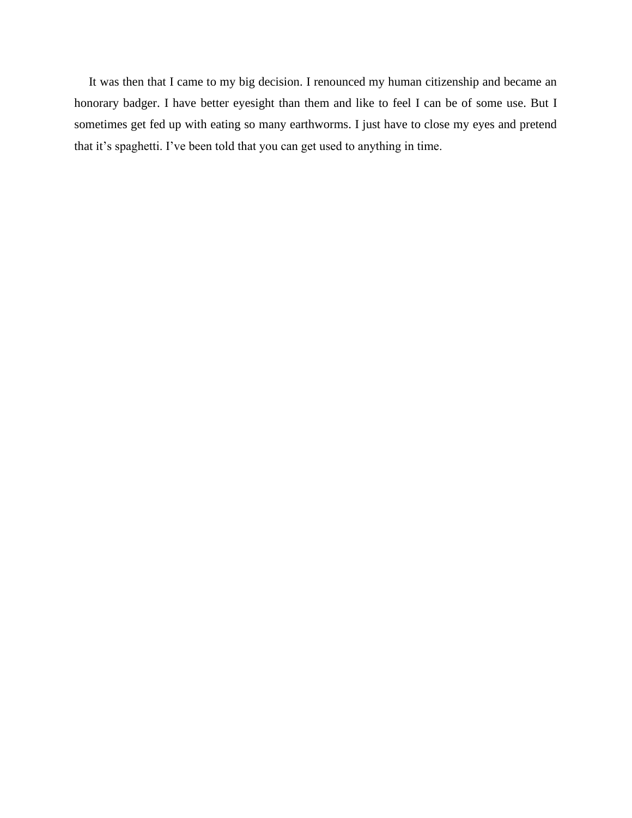It was then that I came to my big decision. I renounced my human citizenship and became an honorary badger. I have better eyesight than them and like to feel I can be of some use. But I sometimes get fed up with eating so many earthworms. I just have to close my eyes and pretend that it's spaghetti. I've been told that you can get used to anything in time.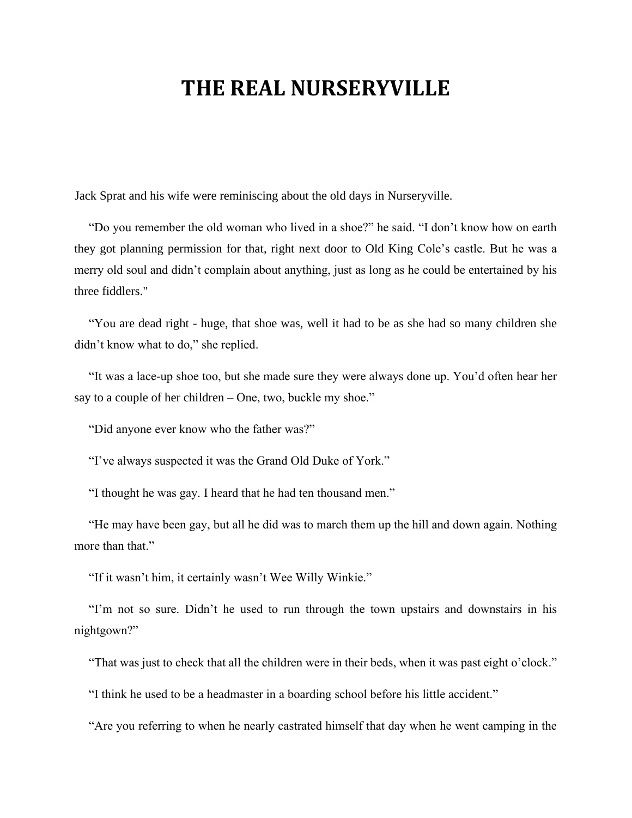### **THE REAL NURSERYVILLE**

Jack Sprat and his wife were reminiscing about the old days in Nurseryville.

"Do you remember the old woman who lived in a shoe?" he said. "I don't know how on earth they got planning permission for that, right next door to Old King Cole's castle. But he was a merry old soul and didn't complain about anything, just as long as he could be entertained by his three fiddlers."

"You are dead right - huge, that shoe was, well it had to be as she had so many children she didn't know what to do," she replied.

"It was a lace-up shoe too, but she made sure they were always done up. You'd often hear her say to a couple of her children – One, two, buckle my shoe."

"Did anyone ever know who the father was?"

"I've always suspected it was the Grand Old Duke of York."

"I thought he was gay. I heard that he had ten thousand men."

"He may have been gay, but all he did was to march them up the hill and down again. Nothing more than that."

"If it wasn't him, it certainly wasn't Wee Willy Winkie."

"I'm not so sure. Didn't he used to run through the town upstairs and downstairs in his nightgown?"

"That was just to check that all the children were in their beds, when it was past eight o'clock."

"I think he used to be a headmaster in a boarding school before his little accident."

"Are you referring to when he nearly castrated himself that day when he went camping in the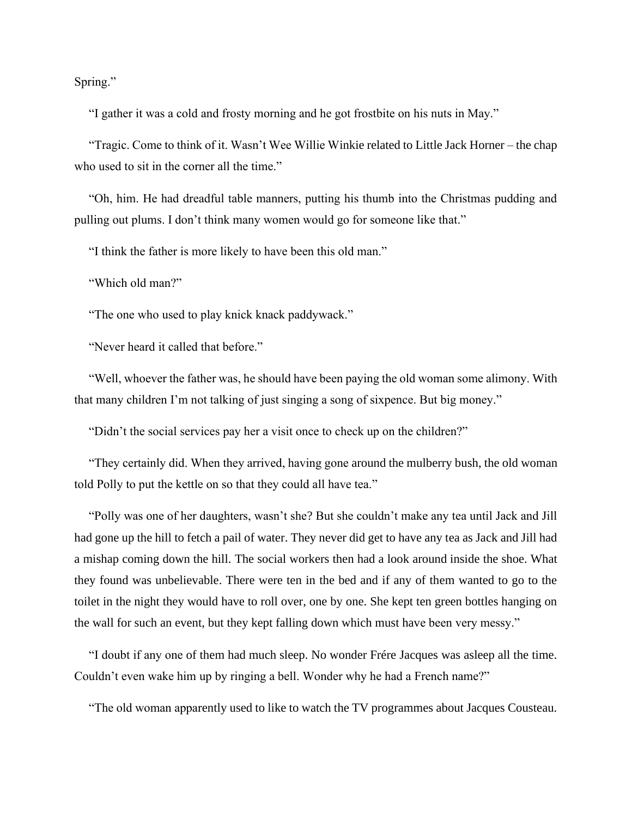Spring."

"I gather it was a cold and frosty morning and he got frostbite on his nuts in May."

"Tragic. Come to think of it. Wasn't Wee Willie Winkie related to Little Jack Horner – the chap who used to sit in the corner all the time."

"Oh, him. He had dreadful table manners, putting his thumb into the Christmas pudding and pulling out plums. I don't think many women would go for someone like that."

"I think the father is more likely to have been this old man."

"Which old man?"

"The one who used to play knick knack paddywack."

"Never heard it called that before."

"Well, whoever the father was, he should have been paying the old woman some alimony. With that many children I'm not talking of just singing a song of sixpence. But big money."

"Didn't the social services pay her a visit once to check up on the children?"

"They certainly did. When they arrived, having gone around the mulberry bush, the old woman told Polly to put the kettle on so that they could all have tea."

"Polly was one of her daughters, wasn't she? But she couldn't make any tea until Jack and Jill had gone up the hill to fetch a pail of water. They never did get to have any tea as Jack and Jill had a mishap coming down the hill. The social workers then had a look around inside the shoe. What they found was unbelievable. There were ten in the bed and if any of them wanted to go to the toilet in the night they would have to roll over, one by one. She kept ten green bottles hanging on the wall for such an event, but they kept falling down which must have been very messy."

"I doubt if any one of them had much sleep. No wonder Frére Jacques was asleep all the time. Couldn't even wake him up by ringing a bell. Wonder why he had a French name?"

"The old woman apparently used to like to watch the TV programmes about Jacques Cousteau.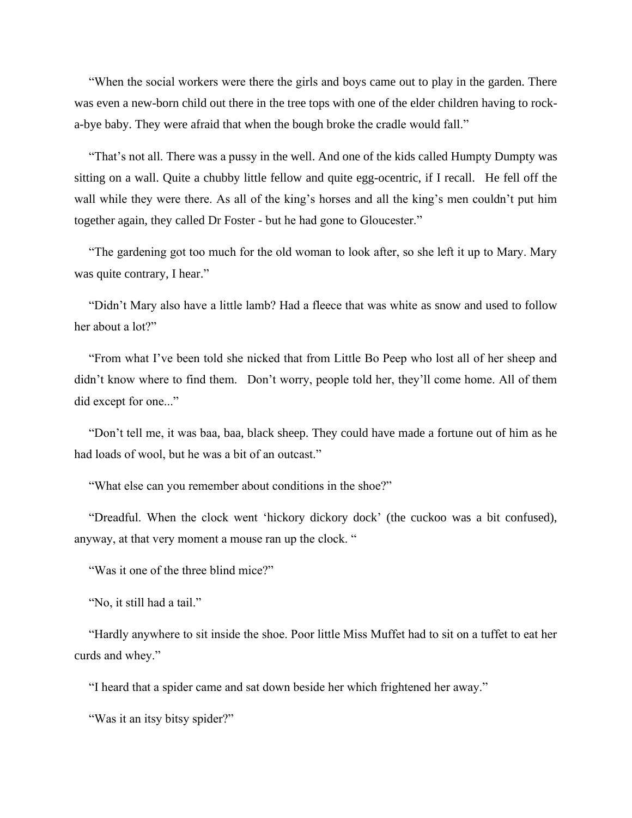"When the social workers were there the girls and boys came out to play in the garden. There was even a new-born child out there in the tree tops with one of the elder children having to rocka-bye baby. They were afraid that when the bough broke the cradle would fall."

"That's not all. There was a pussy in the well. And one of the kids called Humpty Dumpty was sitting on a wall. Quite a chubby little fellow and quite egg-ocentric, if I recall. He fell off the wall while they were there. As all of the king's horses and all the king's men couldn't put him together again, they called Dr Foster - but he had gone to Gloucester."

"The gardening got too much for the old woman to look after, so she left it up to Mary. Mary was quite contrary, I hear."

"Didn't Mary also have a little lamb? Had a fleece that was white as snow and used to follow her about a lot?"

"From what I've been told she nicked that from Little Bo Peep who lost all of her sheep and didn't know where to find them. Don't worry, people told her, they'll come home. All of them did except for one..."

"Don't tell me, it was baa, baa, black sheep. They could have made a fortune out of him as he had loads of wool, but he was a bit of an outcast."

"What else can you remember about conditions in the shoe?"

"Dreadful. When the clock went 'hickory dickory dock' (the cuckoo was a bit confused), anyway, at that very moment a mouse ran up the clock. "

"Was it one of the three blind mice?"

"No, it still had a tail."

"Hardly anywhere to sit inside the shoe. Poor little Miss Muffet had to sit on a tuffet to eat her curds and whey."

"I heard that a spider came and sat down beside her which frightened her away."

"Was it an itsy bitsy spider?"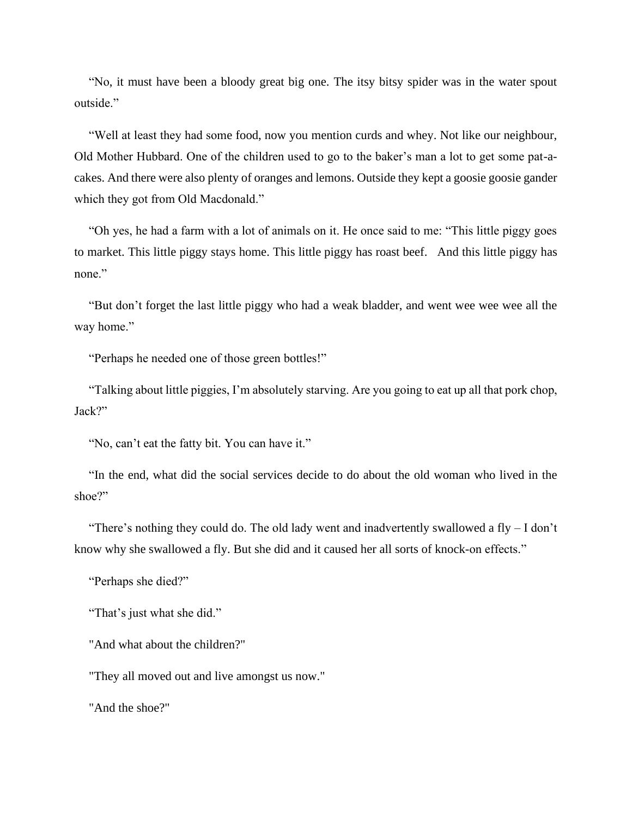"No, it must have been a bloody great big one. The itsy bitsy spider was in the water spout outside."

"Well at least they had some food, now you mention curds and whey. Not like our neighbour, Old Mother Hubbard. One of the children used to go to the baker's man a lot to get some pat-acakes. And there were also plenty of oranges and lemons. Outside they kept a goosie goosie gander which they got from Old Macdonald."

"Oh yes, he had a farm with a lot of animals on it. He once said to me: "This little piggy goes to market. This little piggy stays home. This little piggy has roast beef. And this little piggy has none."

"But don't forget the last little piggy who had a weak bladder, and went wee wee wee all the way home."

"Perhaps he needed one of those green bottles!"

"Talking about little piggies, I'm absolutely starving. Are you going to eat up all that pork chop, Jack?"

"No, can't eat the fatty bit. You can have it."

"In the end, what did the social services decide to do about the old woman who lived in the shoe?"

"There's nothing they could do. The old lady went and inadvertently swallowed a fly  $-$  I don't know why she swallowed a fly. But she did and it caused her all sorts of knock-on effects."

"Perhaps she died?"

"That's just what she did."

"And what about the children?"

"They all moved out and live amongst us now."

"And the shoe?"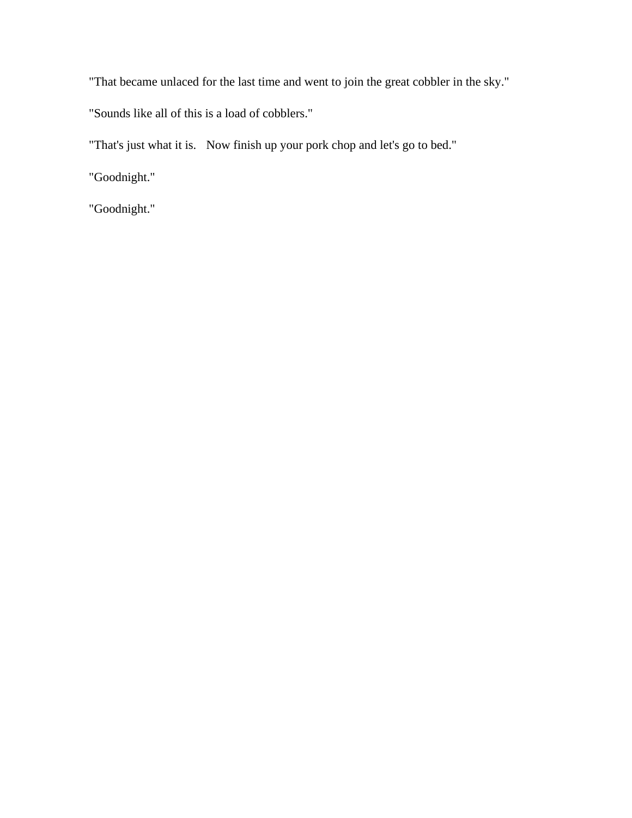"That became unlaced for the last time and went to join the great cobbler in the sky."

"Sounds like all of this is a load of cobblers."

"That's just what it is. Now finish up your pork chop and let's go to bed."

"Goodnight."

"Goodnight."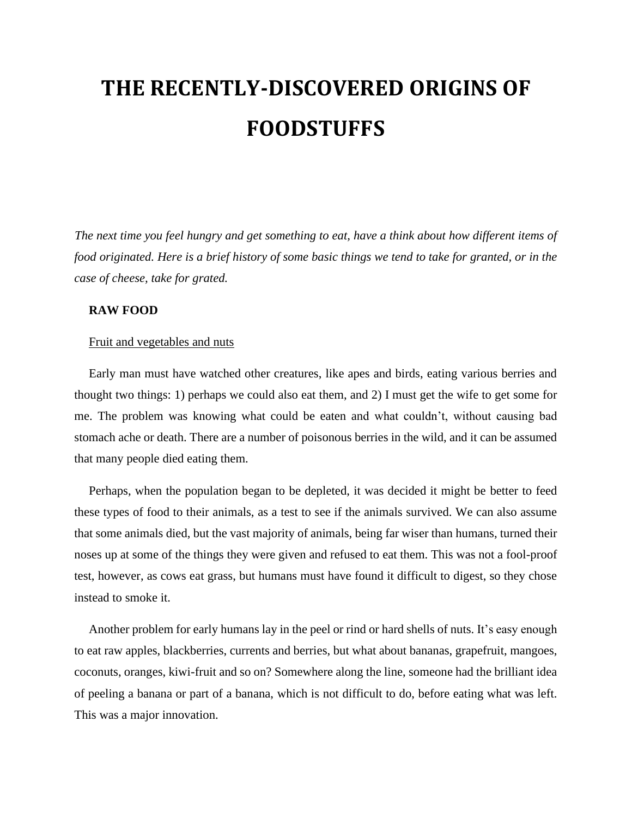# **THE RECENTLY-DISCOVERED ORIGINS OF FOODSTUFFS**

*The next time you feel hungry and get something to eat, have a think about how different items of food originated. Here is a brief history of some basic things we tend to take for granted, or in the case of cheese, take for grated.*

#### **RAW FOOD**

#### Fruit and vegetables and nuts

Early man must have watched other creatures, like apes and birds, eating various berries and thought two things: 1) perhaps we could also eat them, and 2) I must get the wife to get some for me. The problem was knowing what could be eaten and what couldn't, without causing bad stomach ache or death. There are a number of poisonous berries in the wild, and it can be assumed that many people died eating them.

Perhaps, when the population began to be depleted, it was decided it might be better to feed these types of food to their animals, as a test to see if the animals survived. We can also assume that some animals died, but the vast majority of animals, being far wiser than humans, turned their noses up at some of the things they were given and refused to eat them. This was not a fool-proof test, however, as cows eat grass, but humans must have found it difficult to digest, so they chose instead to smoke it.

Another problem for early humans lay in the peel or rind or hard shells of nuts. It's easy enough to eat raw apples, blackberries, currents and berries, but what about bananas, grapefruit, mangoes, coconuts, oranges, kiwi-fruit and so on? Somewhere along the line, someone had the brilliant idea of peeling a banana or part of a banana, which is not difficult to do, before eating what was left. This was a major innovation.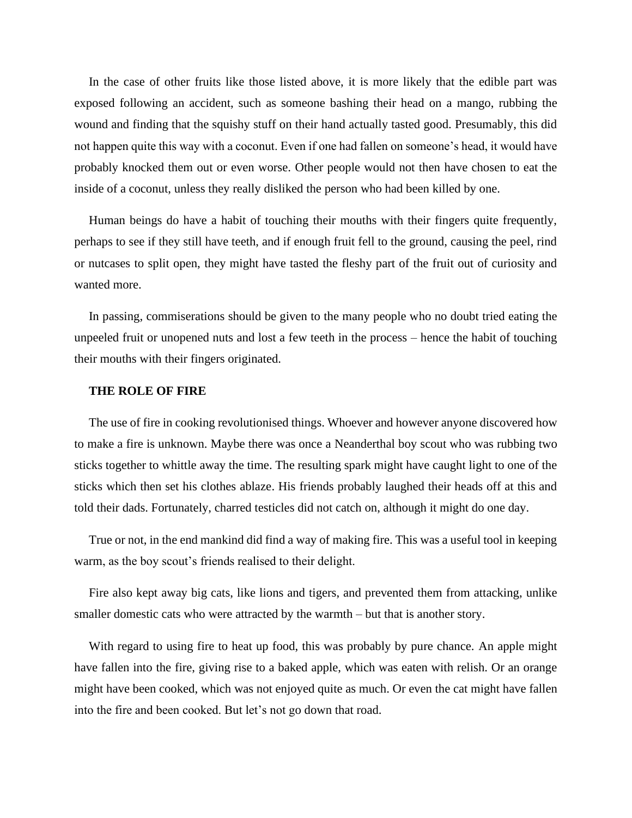In the case of other fruits like those listed above, it is more likely that the edible part was exposed following an accident, such as someone bashing their head on a mango, rubbing the wound and finding that the squishy stuff on their hand actually tasted good. Presumably, this did not happen quite this way with a coconut. Even if one had fallen on someone's head, it would have probably knocked them out or even worse. Other people would not then have chosen to eat the inside of a coconut, unless they really disliked the person who had been killed by one.

Human beings do have a habit of touching their mouths with their fingers quite frequently, perhaps to see if they still have teeth, and if enough fruit fell to the ground, causing the peel, rind or nutcases to split open, they might have tasted the fleshy part of the fruit out of curiosity and wanted more.

In passing, commiserations should be given to the many people who no doubt tried eating the unpeeled fruit or unopened nuts and lost a few teeth in the process – hence the habit of touching their mouths with their fingers originated.

#### **THE ROLE OF FIRE**

The use of fire in cooking revolutionised things. Whoever and however anyone discovered how to make a fire is unknown. Maybe there was once a Neanderthal boy scout who was rubbing two sticks together to whittle away the time. The resulting spark might have caught light to one of the sticks which then set his clothes ablaze. His friends probably laughed their heads off at this and told their dads. Fortunately, charred testicles did not catch on, although it might do one day.

True or not, in the end mankind did find a way of making fire. This was a useful tool in keeping warm, as the boy scout's friends realised to their delight.

Fire also kept away big cats, like lions and tigers, and prevented them from attacking, unlike smaller domestic cats who were attracted by the warmth – but that is another story.

With regard to using fire to heat up food, this was probably by pure chance. An apple might have fallen into the fire, giving rise to a baked apple, which was eaten with relish. Or an orange might have been cooked, which was not enjoyed quite as much. Or even the cat might have fallen into the fire and been cooked. But let's not go down that road.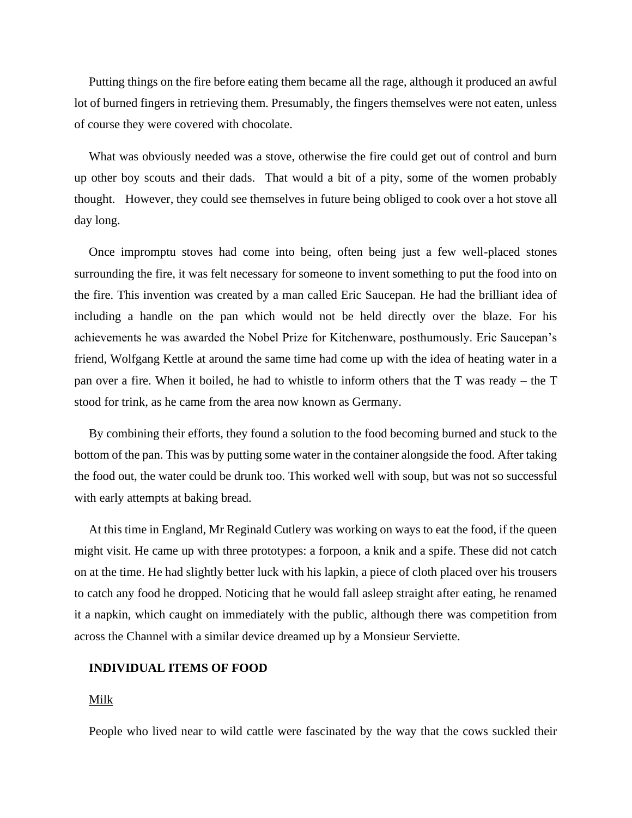Putting things on the fire before eating them became all the rage, although it produced an awful lot of burned fingers in retrieving them. Presumably, the fingers themselves were not eaten, unless of course they were covered with chocolate.

What was obviously needed was a stove, otherwise the fire could get out of control and burn up other boy scouts and their dads. That would a bit of a pity, some of the women probably thought. However, they could see themselves in future being obliged to cook over a hot stove all day long.

Once impromptu stoves had come into being, often being just a few well-placed stones surrounding the fire, it was felt necessary for someone to invent something to put the food into on the fire. This invention was created by a man called Eric Saucepan. He had the brilliant idea of including a handle on the pan which would not be held directly over the blaze. For his achievements he was awarded the Nobel Prize for Kitchenware, posthumously. Eric Saucepan's friend, Wolfgang Kettle at around the same time had come up with the idea of heating water in a pan over a fire. When it boiled, he had to whistle to inform others that the T was ready – the T stood for trink, as he came from the area now known as Germany.

By combining their efforts, they found a solution to the food becoming burned and stuck to the bottom of the pan. This was by putting some water in the container alongside the food. After taking the food out, the water could be drunk too. This worked well with soup, but was not so successful with early attempts at baking bread.

At this time in England, Mr Reginald Cutlery was working on ways to eat the food, if the queen might visit. He came up with three prototypes: a forpoon, a knik and a spife. These did not catch on at the time. He had slightly better luck with his lapkin, a piece of cloth placed over his trousers to catch any food he dropped. Noticing that he would fall asleep straight after eating, he renamed it a napkin, which caught on immediately with the public, although there was competition from across the Channel with a similar device dreamed up by a Monsieur Serviette.

#### **INDIVIDUAL ITEMS OF FOOD**

#### Milk

People who lived near to wild cattle were fascinated by the way that the cows suckled their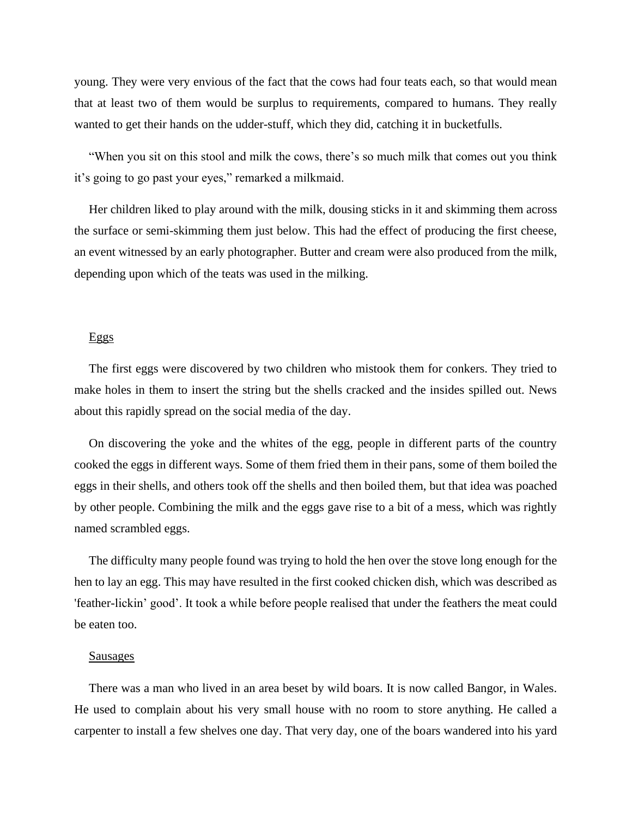young. They were very envious of the fact that the cows had four teats each, so that would mean that at least two of them would be surplus to requirements, compared to humans. They really wanted to get their hands on the udder-stuff, which they did, catching it in bucketfulls.

"When you sit on this stool and milk the cows, there's so much milk that comes out you think it's going to go past your eyes," remarked a milkmaid.

Her children liked to play around with the milk, dousing sticks in it and skimming them across the surface or semi-skimming them just below. This had the effect of producing the first cheese, an event witnessed by an early photographer. Butter and cream were also produced from the milk, depending upon which of the teats was used in the milking.

#### Eggs

The first eggs were discovered by two children who mistook them for conkers. They tried to make holes in them to insert the string but the shells cracked and the insides spilled out. News about this rapidly spread on the social media of the day.

On discovering the yoke and the whites of the egg, people in different parts of the country cooked the eggs in different ways. Some of them fried them in their pans, some of them boiled the eggs in their shells, and others took off the shells and then boiled them, but that idea was poached by other people. Combining the milk and the eggs gave rise to a bit of a mess, which was rightly named scrambled eggs.

The difficulty many people found was trying to hold the hen over the stove long enough for the hen to lay an egg. This may have resulted in the first cooked chicken dish, which was described as 'feather-lickin' good'. It took a while before people realised that under the feathers the meat could be eaten too.

#### Sausages

There was a man who lived in an area beset by wild boars. It is now called Bangor, in Wales. He used to complain about his very small house with no room to store anything. He called a carpenter to install a few shelves one day. That very day, one of the boars wandered into his yard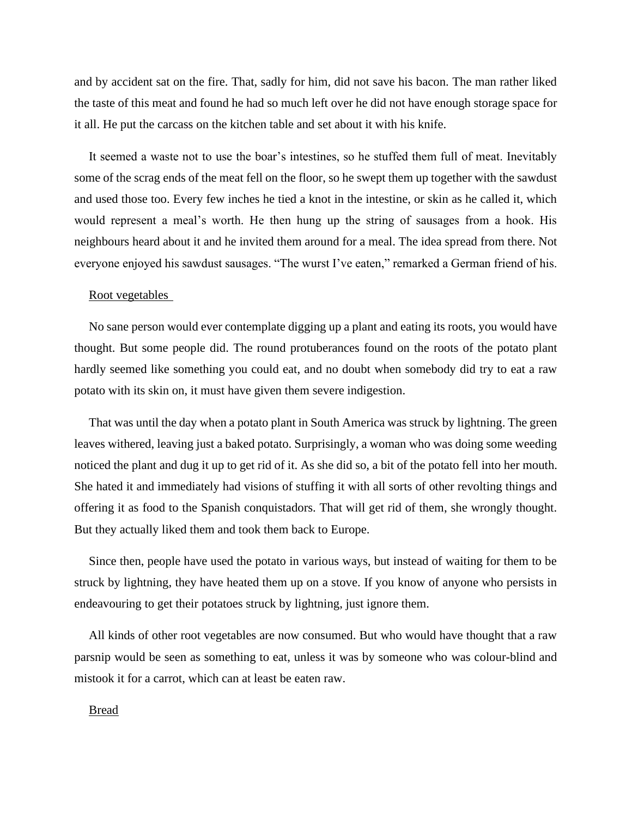and by accident sat on the fire. That, sadly for him, did not save his bacon. The man rather liked the taste of this meat and found he had so much left over he did not have enough storage space for it all. He put the carcass on the kitchen table and set about it with his knife.

It seemed a waste not to use the boar's intestines, so he stuffed them full of meat. Inevitably some of the scrag ends of the meat fell on the floor, so he swept them up together with the sawdust and used those too. Every few inches he tied a knot in the intestine, or skin as he called it, which would represent a meal's worth. He then hung up the string of sausages from a hook. His neighbours heard about it and he invited them around for a meal. The idea spread from there. Not everyone enjoyed his sawdust sausages. "The wurst I've eaten," remarked a German friend of his.

#### Root vegetables

No sane person would ever contemplate digging up a plant and eating its roots, you would have thought. But some people did. The round protuberances found on the roots of the potato plant hardly seemed like something you could eat, and no doubt when somebody did try to eat a raw potato with its skin on, it must have given them severe indigestion.

That was until the day when a potato plant in South America was struck by lightning. The green leaves withered, leaving just a baked potato. Surprisingly, a woman who was doing some weeding noticed the plant and dug it up to get rid of it. As she did so, a bit of the potato fell into her mouth. She hated it and immediately had visions of stuffing it with all sorts of other revolting things and offering it as food to the Spanish conquistadors. That will get rid of them, she wrongly thought. But they actually liked them and took them back to Europe.

Since then, people have used the potato in various ways, but instead of waiting for them to be struck by lightning, they have heated them up on a stove. If you know of anyone who persists in endeavouring to get their potatoes struck by lightning, just ignore them.

All kinds of other root vegetables are now consumed. But who would have thought that a raw parsnip would be seen as something to eat, unless it was by someone who was colour-blind and mistook it for a carrot, which can at least be eaten raw.

#### Bread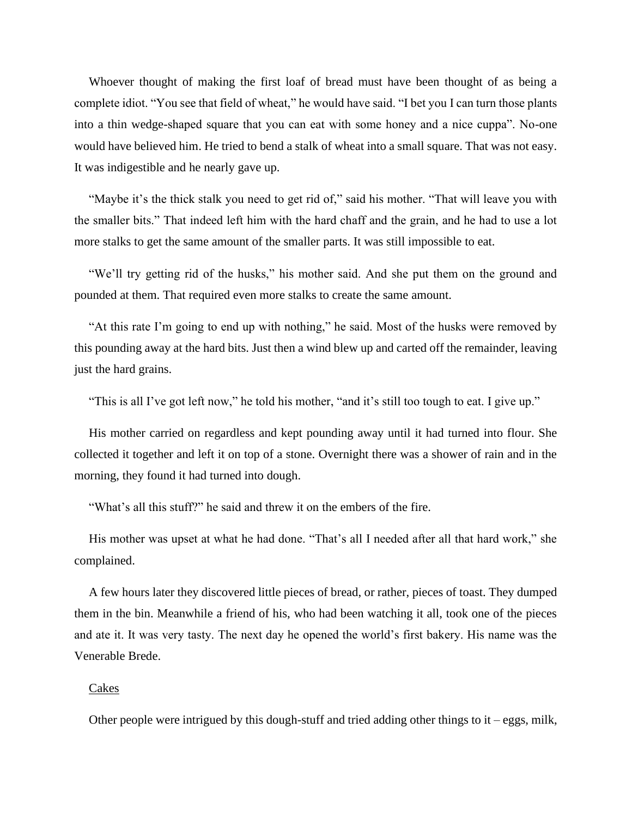Whoever thought of making the first loaf of bread must have been thought of as being a complete idiot. "You see that field of wheat," he would have said. "I bet you I can turn those plants into a thin wedge-shaped square that you can eat with some honey and a nice cuppa". No-one would have believed him. He tried to bend a stalk of wheat into a small square. That was not easy. It was indigestible and he nearly gave up.

"Maybe it's the thick stalk you need to get rid of," said his mother. "That will leave you with the smaller bits." That indeed left him with the hard chaff and the grain, and he had to use a lot more stalks to get the same amount of the smaller parts. It was still impossible to eat.

"We'll try getting rid of the husks," his mother said. And she put them on the ground and pounded at them. That required even more stalks to create the same amount.

"At this rate I'm going to end up with nothing," he said. Most of the husks were removed by this pounding away at the hard bits. Just then a wind blew up and carted off the remainder, leaving just the hard grains.

"This is all I've got left now," he told his mother, "and it's still too tough to eat. I give up."

His mother carried on regardless and kept pounding away until it had turned into flour. She collected it together and left it on top of a stone. Overnight there was a shower of rain and in the morning, they found it had turned into dough.

"What's all this stuff?" he said and threw it on the embers of the fire.

His mother was upset at what he had done. "That's all I needed after all that hard work," she complained.

A few hours later they discovered little pieces of bread, or rather, pieces of toast. They dumped them in the bin. Meanwhile a friend of his, who had been watching it all, took one of the pieces and ate it. It was very tasty. The next day he opened the world's first bakery. His name was the Venerable Brede.

#### Cakes

Other people were intrigued by this dough-stuff and tried adding other things to it – eggs, milk,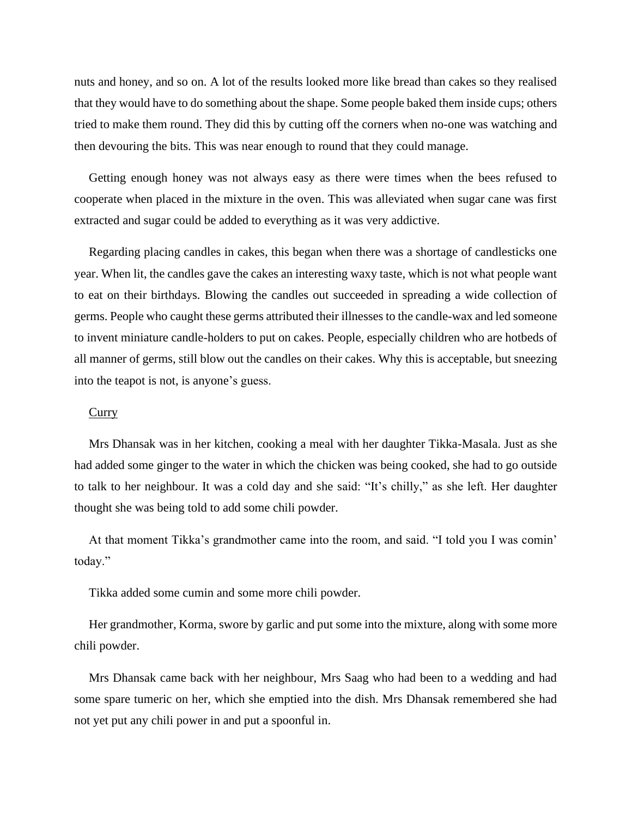nuts and honey, and so on. A lot of the results looked more like bread than cakes so they realised that they would have to do something about the shape. Some people baked them inside cups; others tried to make them round. They did this by cutting off the corners when no-one was watching and then devouring the bits. This was near enough to round that they could manage.

Getting enough honey was not always easy as there were times when the bees refused to cooperate when placed in the mixture in the oven. This was alleviated when sugar cane was first extracted and sugar could be added to everything as it was very addictive.

Regarding placing candles in cakes, this began when there was a shortage of candlesticks one year. When lit, the candles gave the cakes an interesting waxy taste, which is not what people want to eat on their birthdays. Blowing the candles out succeeded in spreading a wide collection of germs. People who caught these germs attributed their illnesses to the candle-wax and led someone to invent miniature candle-holders to put on cakes. People, especially children who are hotbeds of all manner of germs, still blow out the candles on their cakes. Why this is acceptable, but sneezing into the teapot is not, is anyone's guess.

#### **Curry**

Mrs Dhansak was in her kitchen, cooking a meal with her daughter Tikka-Masala. Just as she had added some ginger to the water in which the chicken was being cooked, she had to go outside to talk to her neighbour. It was a cold day and she said: "It's chilly," as she left. Her daughter thought she was being told to add some chili powder.

At that moment Tikka's grandmother came into the room, and said. "I told you I was comin' today."

Tikka added some cumin and some more chili powder.

Her grandmother, Korma, swore by garlic and put some into the mixture, along with some more chili powder.

Mrs Dhansak came back with her neighbour, Mrs Saag who had been to a wedding and had some spare tumeric on her, which she emptied into the dish. Mrs Dhansak remembered she had not yet put any chili power in and put a spoonful in.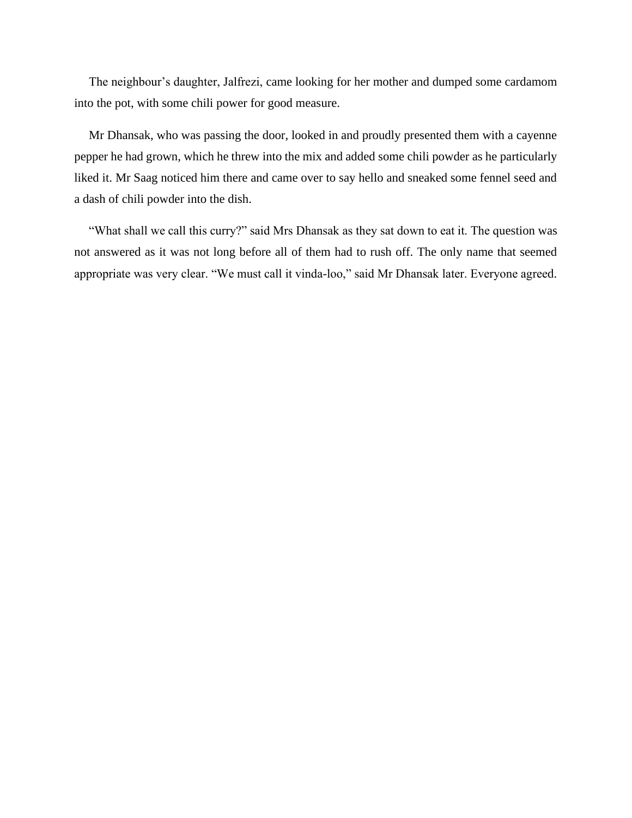The neighbour's daughter, Jalfrezi, came looking for her mother and dumped some cardamom into the pot, with some chili power for good measure.

Mr Dhansak, who was passing the door, looked in and proudly presented them with a cayenne pepper he had grown, which he threw into the mix and added some chili powder as he particularly liked it. Mr Saag noticed him there and came over to say hello and sneaked some fennel seed and a dash of chili powder into the dish.

"What shall we call this curry?" said Mrs Dhansak as they sat down to eat it. The question was not answered as it was not long before all of them had to rush off. The only name that seemed appropriate was very clear. "We must call it vinda-loo," said Mr Dhansak later. Everyone agreed.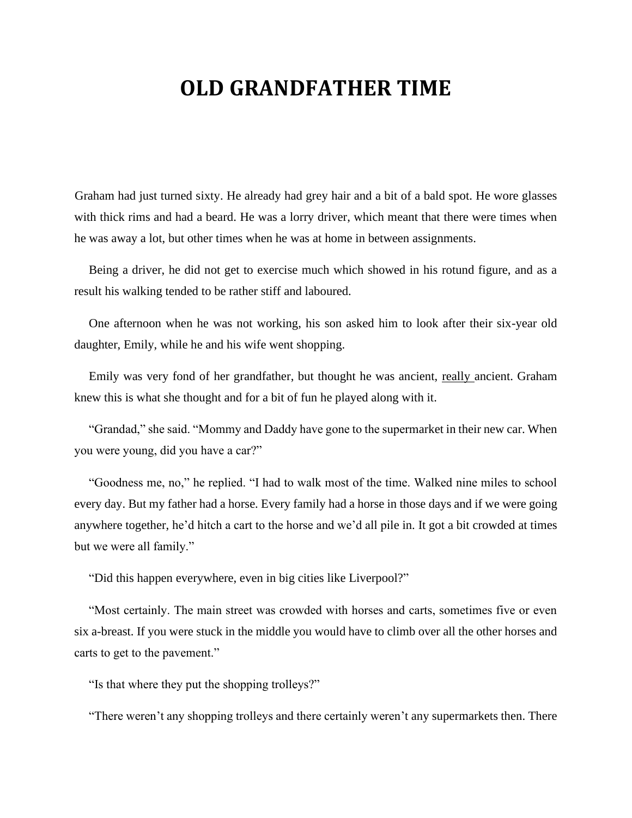### **OLD GRANDFATHER TIME**

Graham had just turned sixty. He already had grey hair and a bit of a bald spot. He wore glasses with thick rims and had a beard. He was a lorry driver, which meant that there were times when he was away a lot, but other times when he was at home in between assignments.

Being a driver, he did not get to exercise much which showed in his rotund figure, and as a result his walking tended to be rather stiff and laboured.

One afternoon when he was not working, his son asked him to look after their six-year old daughter, Emily, while he and his wife went shopping.

Emily was very fond of her grandfather, but thought he was ancient, really ancient. Graham knew this is what she thought and for a bit of fun he played along with it.

"Grandad," she said. "Mommy and Daddy have gone to the supermarket in their new car. When you were young, did you have a car?"

"Goodness me, no," he replied. "I had to walk most of the time. Walked nine miles to school every day. But my father had a horse. Every family had a horse in those days and if we were going anywhere together, he'd hitch a cart to the horse and we'd all pile in. It got a bit crowded at times but we were all family."

"Did this happen everywhere, even in big cities like Liverpool?"

"Most certainly. The main street was crowded with horses and carts, sometimes five or even six a-breast. If you were stuck in the middle you would have to climb over all the other horses and carts to get to the pavement."

"Is that where they put the shopping trolleys?"

"There weren't any shopping trolleys and there certainly weren't any supermarkets then. There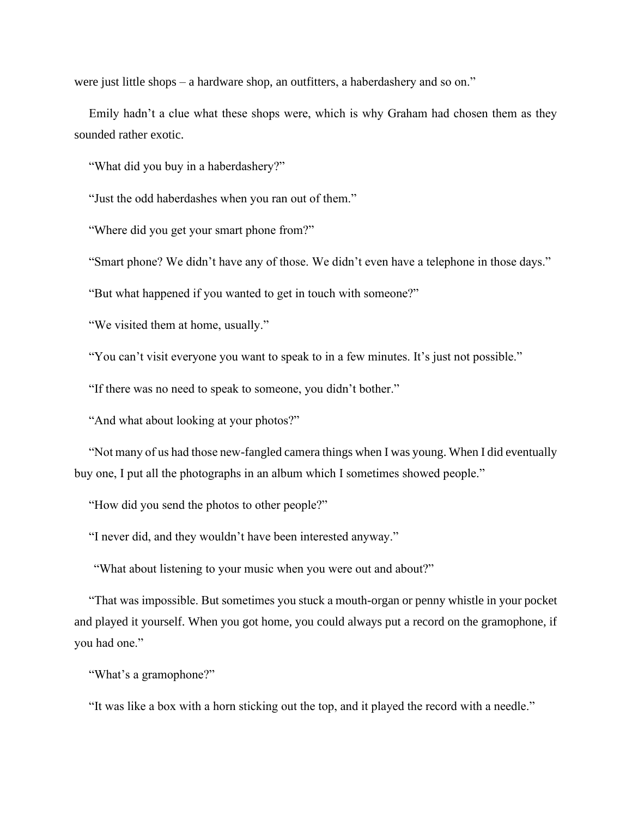were just little shops – a hardware shop, an outfitters, a haberdashery and so on."

Emily hadn't a clue what these shops were, which is why Graham had chosen them as they sounded rather exotic.

"What did you buy in a haberdashery?"

"Just the odd haberdashes when you ran out of them."

"Where did you get your smart phone from?"

"Smart phone? We didn't have any of those. We didn't even have a telephone in those days."

"But what happened if you wanted to get in touch with someone?"

"We visited them at home, usually."

"You can't visit everyone you want to speak to in a few minutes. It's just not possible."

"If there was no need to speak to someone, you didn't bother."

"And what about looking at your photos?"

"Not many of us had those new-fangled camera things when I was young. When I did eventually buy one, I put all the photographs in an album which I sometimes showed people."

"How did you send the photos to other people?"

"I never did, and they wouldn't have been interested anyway."

"What about listening to your music when you were out and about?"

"That was impossible. But sometimes you stuck a mouth-organ or penny whistle in your pocket and played it yourself. When you got home, you could always put a record on the gramophone, if you had one."

"What's a gramophone?"

"It was like a box with a horn sticking out the top, and it played the record with a needle."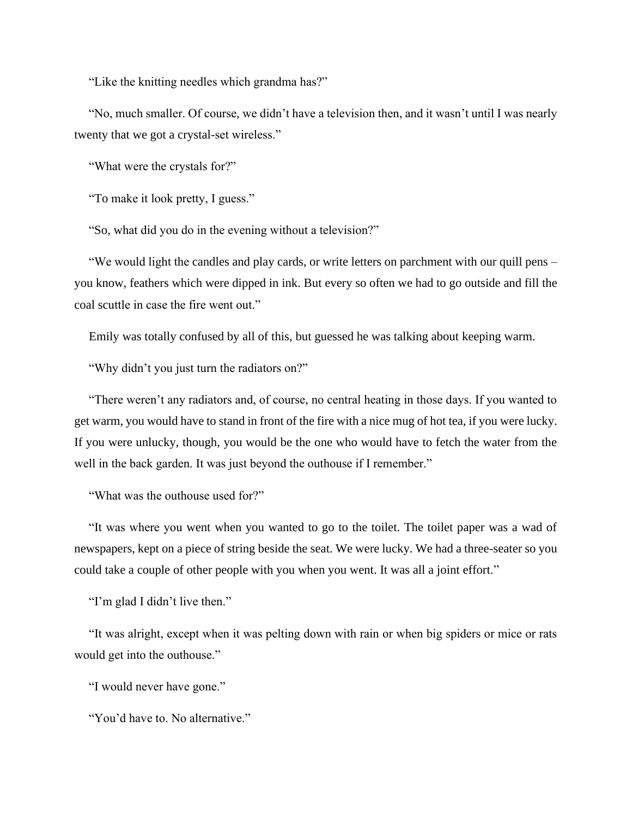"Like the knitting needles which grandma has?"

"No, much smaller. Of course, we didn't have a television then, and it wasn't until I was nearly twenty that we got a crystal-set wireless."

"What were the crystals for?"

"To make it look pretty, I guess."

"So, what did you do in the evening without a television?"

"We would light the candles and play cards, or write letters on parchment with our quill pens – you know, feathers which were dipped in ink. But every so often we had to go outside and fill the coal scuttle in case the fire went out."

Emily was totally confused by all of this, but guessed he was talking about keeping warm.

"Why didn't you just turn the radiators on?"

"There weren't any radiators and, of course, no central heating in those days. If you wanted to get warm, you would have to stand in front of the fire with a nice mug of hot tea, if you were lucky. If you were unlucky, though, you would be the one who would have to fetch the water from the well in the back garden. It was just beyond the outhouse if I remember."

"What was the outhouse used for?"

"It was where you went when you wanted to go to the toilet. The toilet paper was a wad of newspapers, kept on a piece of string beside the seat. We were lucky. We had a three-seater so you could take a couple of other people with you when you went. It was all a joint effort."

"I'm glad I didn't live then."

"It was alright, except when it was pelting down with rain or when big spiders or mice or rats would get into the outhouse."

"I would never have gone."

"You'd have to. No alternative."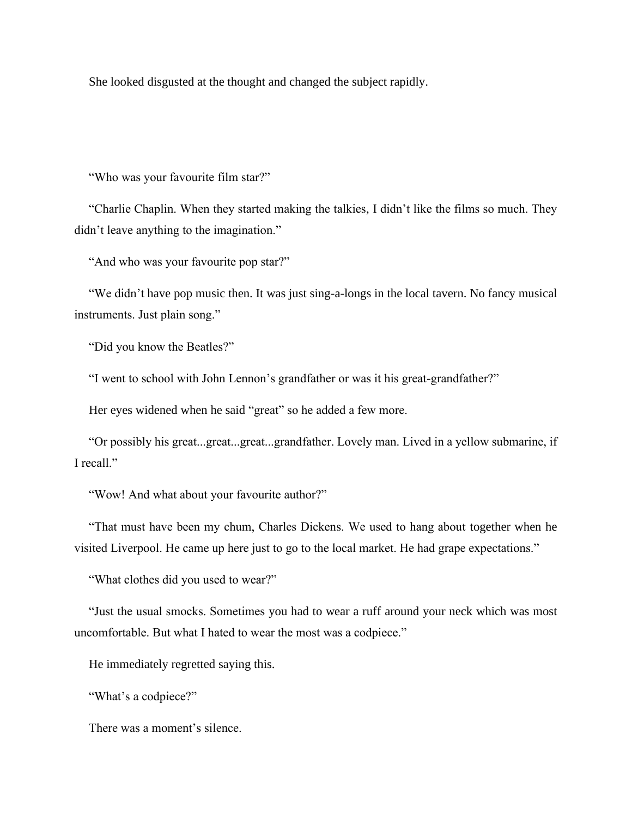She looked disgusted at the thought and changed the subject rapidly.

"Who was your favourite film star?"

"Charlie Chaplin. When they started making the talkies, I didn't like the films so much. They didn't leave anything to the imagination."

"And who was your favourite pop star?"

"We didn't have pop music then. It was just sing-a-longs in the local tavern. No fancy musical instruments. Just plain song."

"Did you know the Beatles?"

"I went to school with John Lennon's grandfather or was it his great-grandfather?"

Her eyes widened when he said "great" so he added a few more.

"Or possibly his great...great...great...grandfather. Lovely man. Lived in a yellow submarine, if I recall."

"Wow! And what about your favourite author?"

"That must have been my chum, Charles Dickens. We used to hang about together when he visited Liverpool. He came up here just to go to the local market. He had grape expectations."

"What clothes did you used to wear?"

"Just the usual smocks. Sometimes you had to wear a ruff around your neck which was most uncomfortable. But what I hated to wear the most was a codpiece."

He immediately regretted saying this.

"What's a codpiece?"

There was a moment's silence.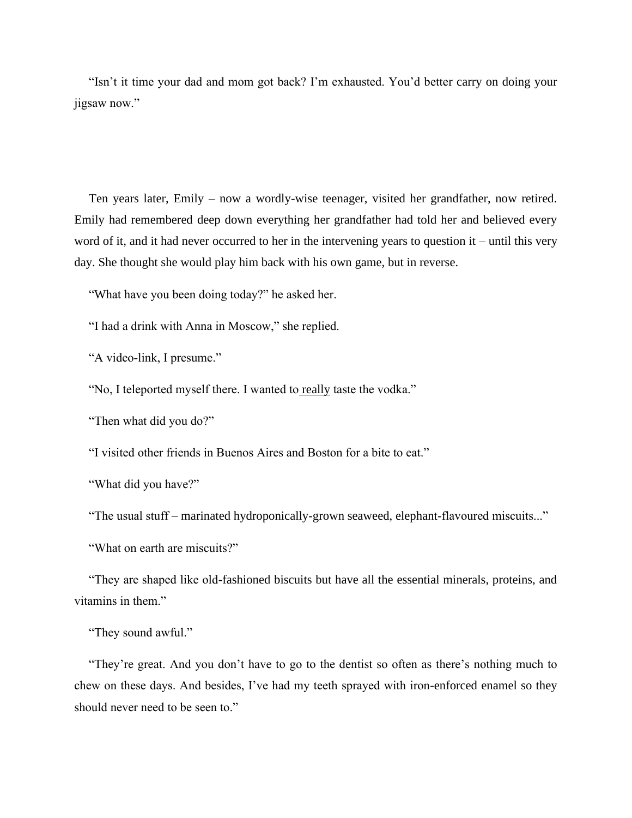"Isn't it time your dad and mom got back? I'm exhausted. You'd better carry on doing your jigsaw now."

Ten years later, Emily – now a wordly-wise teenager, visited her grandfather, now retired. Emily had remembered deep down everything her grandfather had told her and believed every word of it, and it had never occurred to her in the intervening years to question it – until this very day. She thought she would play him back with his own game, but in reverse.

"What have you been doing today?" he asked her.

"I had a drink with Anna in Moscow," she replied.

"A video-link, I presume."

"No, I teleported myself there. I wanted to really taste the vodka."

"Then what did you do?"

"I visited other friends in Buenos Aires and Boston for a bite to eat."

"What did you have?"

"The usual stuff – marinated hydroponically-grown seaweed, elephant-flavoured miscuits..."

"What on earth are miscuits?"

"They are shaped like old-fashioned biscuits but have all the essential minerals, proteins, and vitamins in them."

"They sound awful."

"They're great. And you don't have to go to the dentist so often as there's nothing much to chew on these days. And besides, I've had my teeth sprayed with iron-enforced enamel so they should never need to be seen to."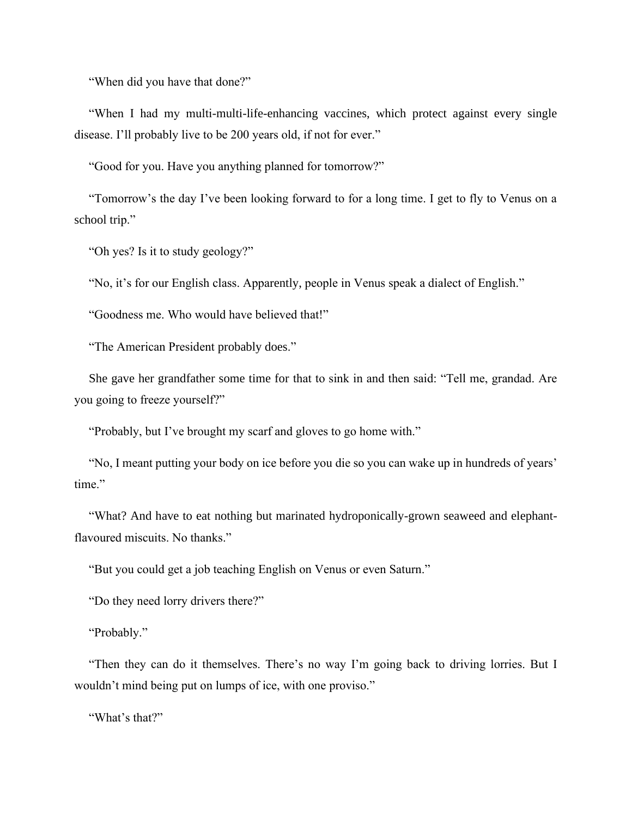"When did you have that done?"

"When I had my multi-multi-life-enhancing vaccines, which protect against every single disease. I'll probably live to be 200 years old, if not for ever."

"Good for you. Have you anything planned for tomorrow?"

"Tomorrow's the day I've been looking forward to for a long time. I get to fly to Venus on a school trip."

"Oh yes? Is it to study geology?"

"No, it's for our English class. Apparently, people in Venus speak a dialect of English."

"Goodness me. Who would have believed that!"

"The American President probably does."

She gave her grandfather some time for that to sink in and then said: "Tell me, grandad. Are you going to freeze yourself?"

"Probably, but I've brought my scarf and gloves to go home with."

"No, I meant putting your body on ice before you die so you can wake up in hundreds of years' time."

"What? And have to eat nothing but marinated hydroponically-grown seaweed and elephantflavoured miscuits. No thanks."

"But you could get a job teaching English on Venus or even Saturn."

"Do they need lorry drivers there?"

"Probably."

"Then they can do it themselves. There's no way I'm going back to driving lorries. But I wouldn't mind being put on lumps of ice, with one proviso."

"What's that?"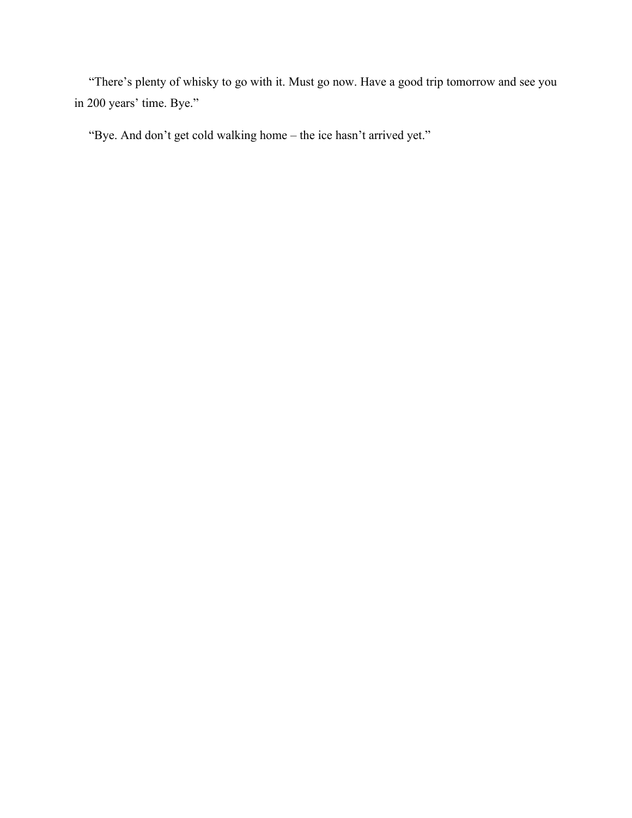"There's plenty of whisky to go with it. Must go now. Have a good trip tomorrow and see you in 200 years' time. Bye."

"Bye. And don't get cold walking home – the ice hasn't arrived yet."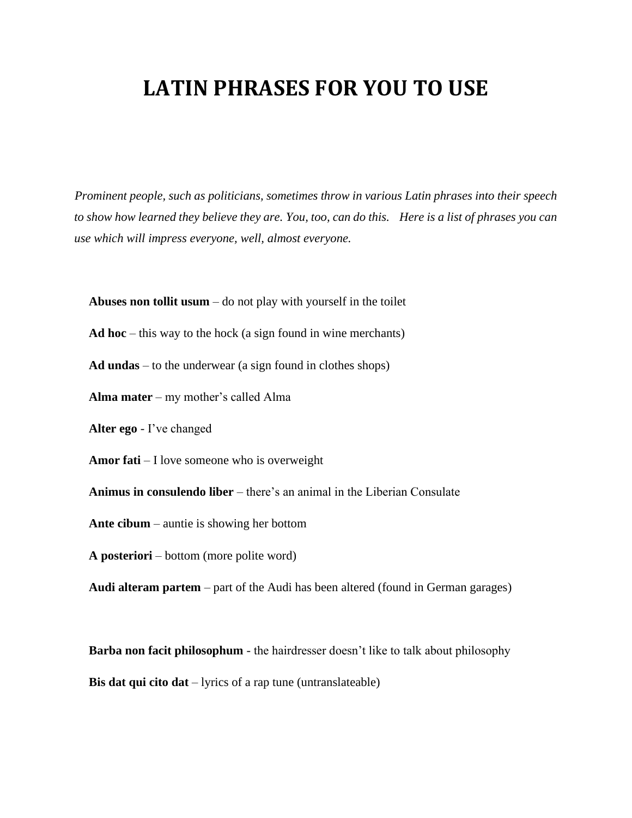## **LATIN PHRASES FOR YOU TO USE**

*Prominent people, such as politicians, sometimes throw in various Latin phrases into their speech to show how learned they believe they are. You, too, can do this. Here is a list of phrases you can use which will impress everyone, well, almost everyone.*

**Abuses non tollit usum** – do not play with yourself in the toilet

**Ad hoc** – this way to the hock (a sign found in wine merchants)

**Ad undas** – to the underwear (a sign found in clothes shops)

**Alma mater** – my mother's called Alma

**Alter ego** - I've changed

**Amor fati** – I love someone who is overweight

**Animus in consulendo liber** – there's an animal in the Liberian Consulate

**Ante cibum** – auntie is showing her bottom

**A posteriori** – bottom (more polite word)

**Audi alteram partem** – part of the Audi has been altered (found in German garages)

**Barba non facit philosophum** - the hairdresser doesn't like to talk about philosophy **Bis dat qui cito dat** – lyrics of a rap tune (untranslateable)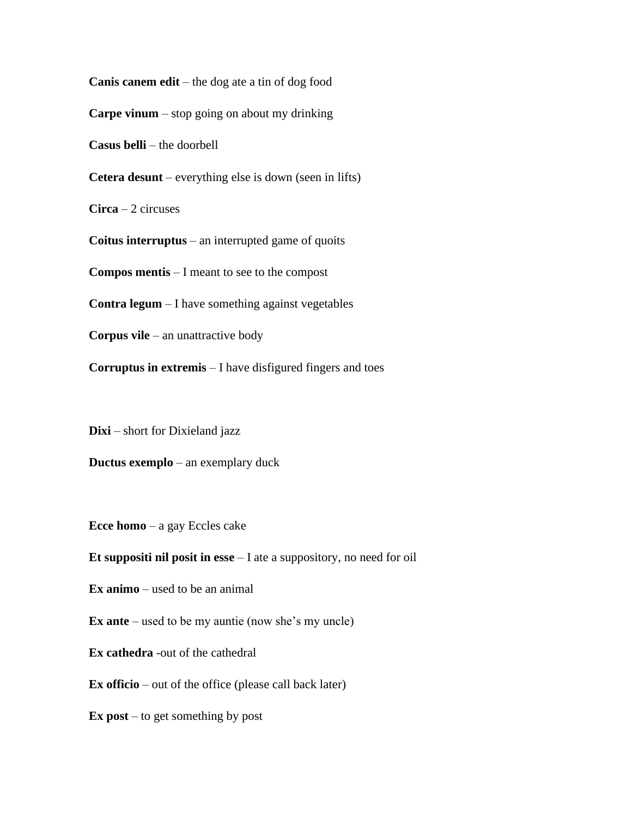**Canis canem edit** – the dog ate a tin of dog food **Carpe vinum** – stop going on about my drinking **Casus belli** – the doorbell **Cetera desunt** – everything else is down (seen in lifts) **Circa** – 2 circuses **Coitus interruptus** – an interrupted game of quoits **Compos mentis** – I meant to see to the compost **Contra legum** – I have something against vegetables **Corpus vile** – an unattractive body **Corruptus in extremis** – I have disfigured fingers and toes

**Dixi** – short for Dixieland jazz

**Ductus exemplo** – an exemplary duck

**Ecce homo** – a gay Eccles cake

**Et suppositi nil posit in esse** – I ate a suppository, no need for oil

**Ex animo** – used to be an animal

**Ex ante** – used to be my auntie (now she's my uncle)

**Ex cathedra** -out of the cathedral

**Ex officio** – out of the office (please call back later)

**Ex post** – to get something by post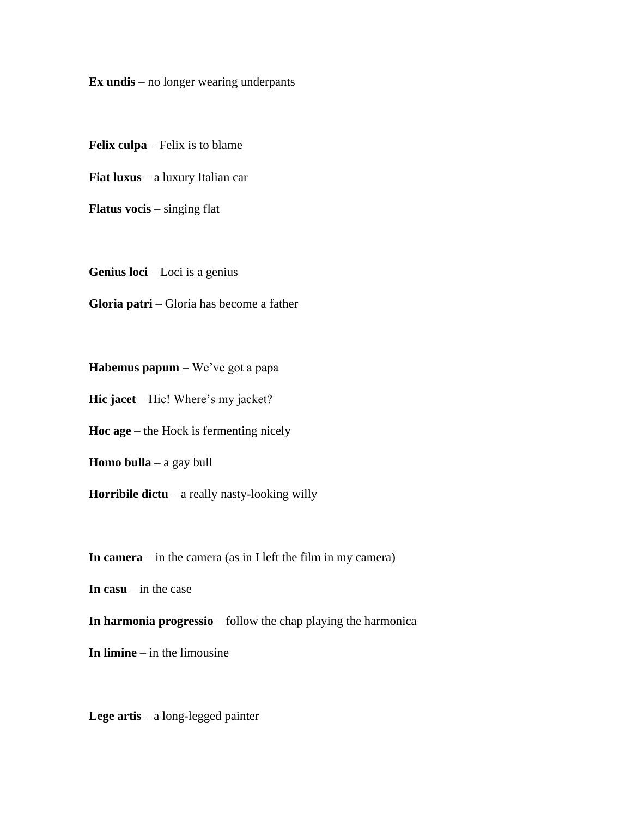**Ex undis** – no longer wearing underpants

**Felix culpa** – Felix is to blame

**Fiat luxus** – a luxury Italian car

**Flatus vocis** – singing flat

**Genius loci** – Loci is a genius

**Gloria patri** – Gloria has become a father

**Habemus papum** – We've got a papa

**Hic jacet** – Hic! Where's my jacket?

**Hoc age** – the Hock is fermenting nicely

**Homo bulla** – a gay bull

**Horribile dictu** – a really nasty-looking willy

**In camera** – in the camera (as in I left the film in my camera)

**In casu** – in the case

**In harmonia progressio** – follow the chap playing the harmonica

**In limine** – in the limousine

**Lege artis** – a long-legged painter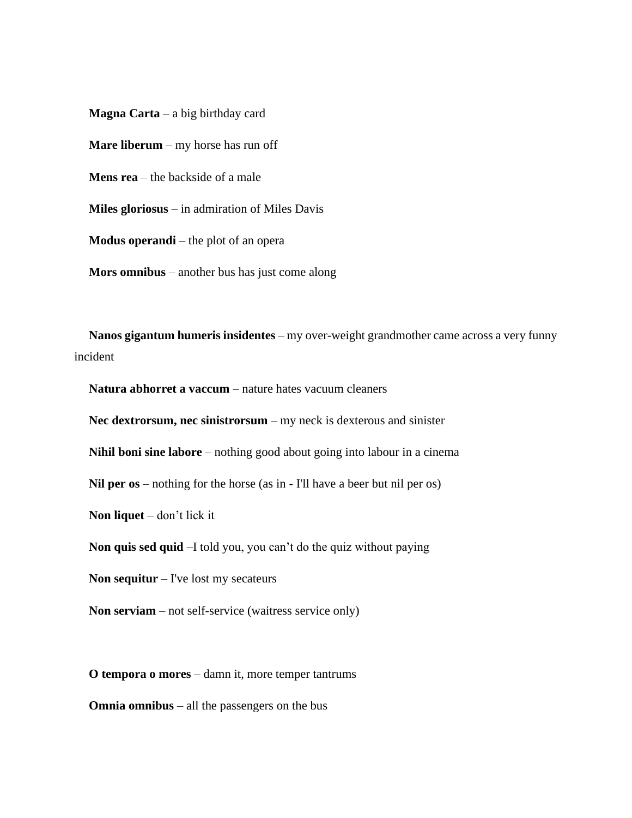**Magna Carta** – a big birthday card **Mare liberum** – my horse has run off **Mens rea** – the backside of a male **Miles gloriosus** – in admiration of Miles Davis **Modus operandi** – the plot of an opera **Mors omnibus** – another bus has just come along

**Nanos gigantum humeris insidentes** – my over-weight grandmother came across a very funny incident

**Natura abhorret a vaccum** – nature hates vacuum cleaners

**Nec dextrorsum, nec sinistrorsum** – my neck is dexterous and sinister

**Nihil boni sine labore** – nothing good about going into labour in a cinema

**Nil per os** – nothing for the horse (as in - I'll have a beer but nil per os)

**Non liquet** – don't lick it

**Non quis sed quid** –I told you, you can't do the quiz without paying

**Non sequitur** – I've lost my secateurs

**Non serviam** – not self-service (waitress service only)

**O tempora o mores** – damn it, more temper tantrums

**Omnia omnibus** – all the passengers on the bus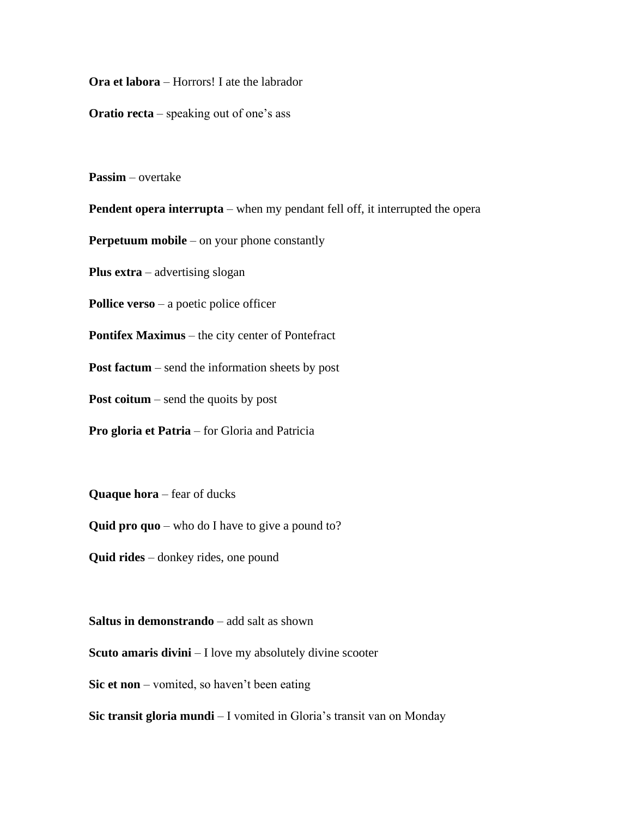**Ora et labora** – Horrors! I ate the labrador

**Oratio recta** – speaking out of one's ass

**Passim** – overtake

**Pendent opera interrupta** – when my pendant fell off, it interrupted the opera

**Perpetuum mobile** – on your phone constantly

**Plus extra** – advertising slogan

**Pollice verso** – a poetic police officer

**Pontifex Maximus** – the city center of Pontefract

**Post factum** – send the information sheets by post

**Post coitum** – send the quoits by post

**Pro gloria et Patria** – for Gloria and Patricia

**Quaque hora** – fear of ducks

**Quid pro quo** – who do I have to give a pound to?

**Quid rides** – donkey rides, one pound

**Saltus in demonstrando** – add salt as shown

**Scuto amaris divini** – I love my absolutely divine scooter

**Sic et non** – vomited, so haven't been eating

**Sic transit gloria mundi** – I vomited in Gloria's transit van on Monday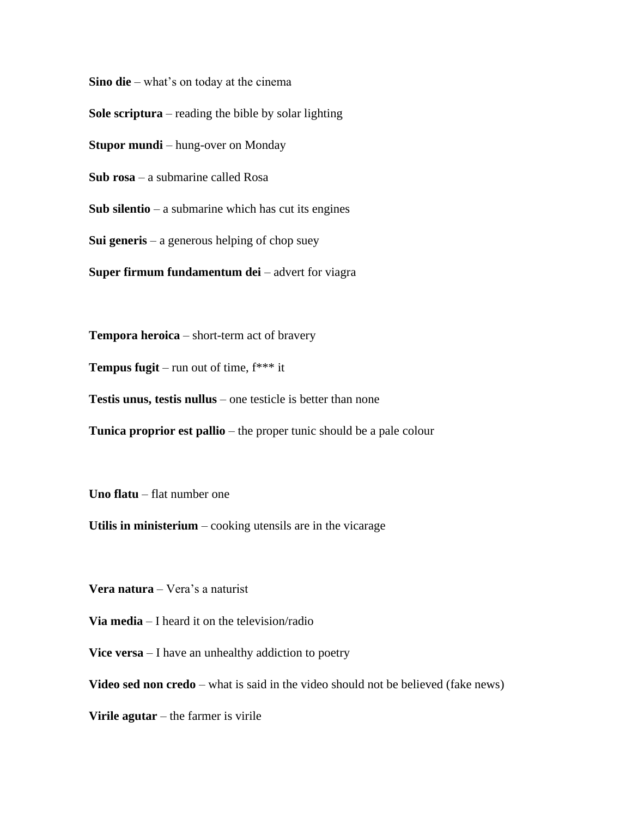**Sino die** – what's on today at the cinema

**Sole scriptura** – reading the bible by solar lighting

**Stupor mundi** – hung-over on Monday

**Sub rosa** – a submarine called Rosa

**Sub silentio** – a submarine which has cut its engines

**Sui generis** – a generous helping of chop suey

**Super firmum fundamentum dei** – advert for viagra

**Tempora heroica** – short-term act of bravery

**Tempus fugit** – run out of time, f\*\*\* it

**Testis unus, testis nullus** – one testicle is better than none

**Tunica proprior est pallio** – the proper tunic should be a pale colour

**Uno flatu** – flat number one

**Utilis in ministerium** – cooking utensils are in the vicarage

**Vera natura** – Vera's a naturist

**Via media** – I heard it on the television/radio

**Vice versa** – I have an unhealthy addiction to poetry

**Video sed non credo** – what is said in the video should not be believed (fake news)

**Virile agutar** – the farmer is virile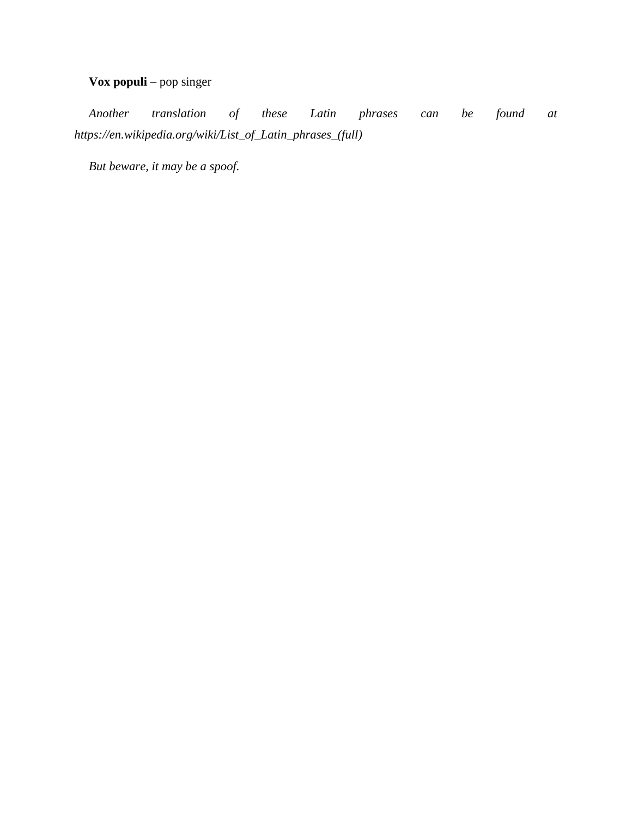#### **Vox populi** – pop singer

*Another translation of these Latin phrases can be found at https://en.wikipedia.org/wiki/List\_of\_Latin\_phrases\_(full)*

*But beware, it may be a spoof.*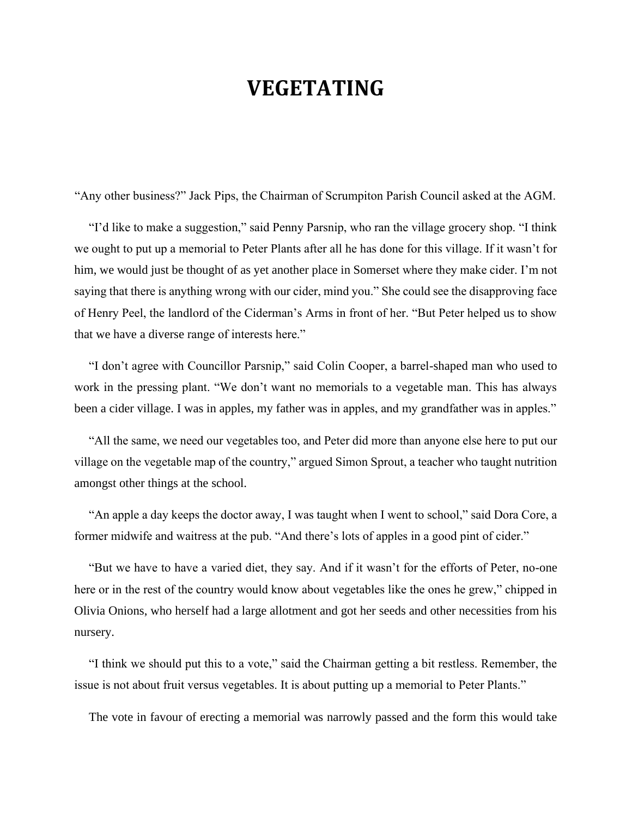#### **VEGETATING**

"Any other business?" Jack Pips, the Chairman of Scrumpiton Parish Council asked at the AGM.

"I'd like to make a suggestion," said Penny Parsnip, who ran the village grocery shop. "I think we ought to put up a memorial to Peter Plants after all he has done for this village. If it wasn't for him, we would just be thought of as yet another place in Somerset where they make cider. I'm not saying that there is anything wrong with our cider, mind you." She could see the disapproving face of Henry Peel, the landlord of the Ciderman's Arms in front of her. "But Peter helped us to show that we have a diverse range of interests here."

"I don't agree with Councillor Parsnip," said Colin Cooper, a barrel-shaped man who used to work in the pressing plant. "We don't want no memorials to a vegetable man. This has always been a cider village. I was in apples, my father was in apples, and my grandfather was in apples."

"All the same, we need our vegetables too, and Peter did more than anyone else here to put our village on the vegetable map of the country," argued Simon Sprout, a teacher who taught nutrition amongst other things at the school.

"An apple a day keeps the doctor away, I was taught when I went to school," said Dora Core, a former midwife and waitress at the pub. "And there's lots of apples in a good pint of cider."

"But we have to have a varied diet, they say. And if it wasn't for the efforts of Peter, no-one here or in the rest of the country would know about vegetables like the ones he grew," chipped in Olivia Onions, who herself had a large allotment and got her seeds and other necessities from his nursery.

"I think we should put this to a vote," said the Chairman getting a bit restless. Remember, the issue is not about fruit versus vegetables. It is about putting up a memorial to Peter Plants."

The vote in favour of erecting a memorial was narrowly passed and the form this would take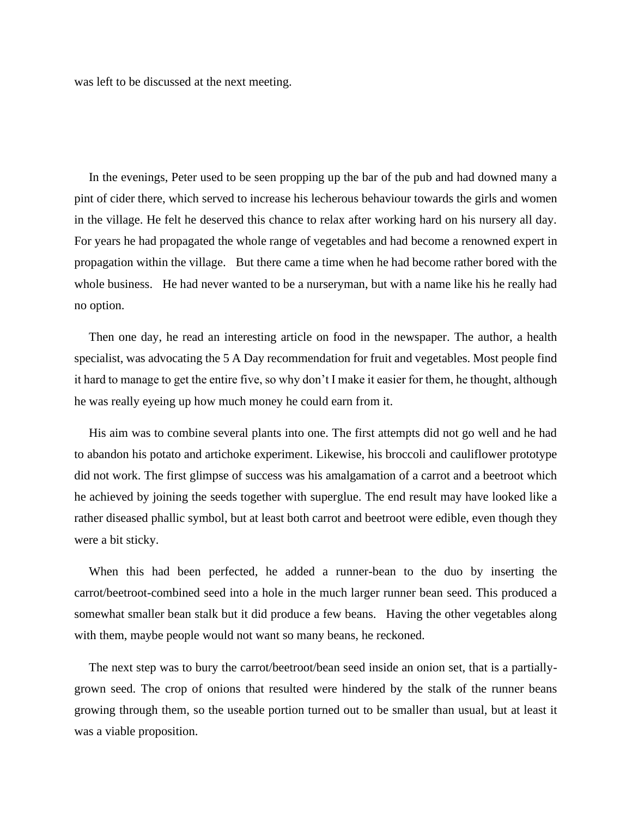was left to be discussed at the next meeting.

In the evenings, Peter used to be seen propping up the bar of the pub and had downed many a pint of cider there, which served to increase his lecherous behaviour towards the girls and women in the village. He felt he deserved this chance to relax after working hard on his nursery all day. For years he had propagated the whole range of vegetables and had become a renowned expert in propagation within the village. But there came a time when he had become rather bored with the whole business. He had never wanted to be a nurseryman, but with a name like his he really had no option.

Then one day, he read an interesting article on food in the newspaper. The author, a health specialist, was advocating the 5 A Day recommendation for fruit and vegetables. Most people find it hard to manage to get the entire five, so why don't I make it easier for them, he thought, although he was really eyeing up how much money he could earn from it.

His aim was to combine several plants into one. The first attempts did not go well and he had to abandon his potato and artichoke experiment. Likewise, his broccoli and cauliflower prototype did not work. The first glimpse of success was his amalgamation of a carrot and a beetroot which he achieved by joining the seeds together with superglue. The end result may have looked like a rather diseased phallic symbol, but at least both carrot and beetroot were edible, even though they were a bit sticky.

When this had been perfected, he added a runner-bean to the duo by inserting the carrot/beetroot-combined seed into a hole in the much larger runner bean seed. This produced a somewhat smaller bean stalk but it did produce a few beans. Having the other vegetables along with them, maybe people would not want so many beans, he reckoned.

The next step was to bury the carrot/beetroot/bean seed inside an onion set, that is a partiallygrown seed. The crop of onions that resulted were hindered by the stalk of the runner beans growing through them, so the useable portion turned out to be smaller than usual, but at least it was a viable proposition.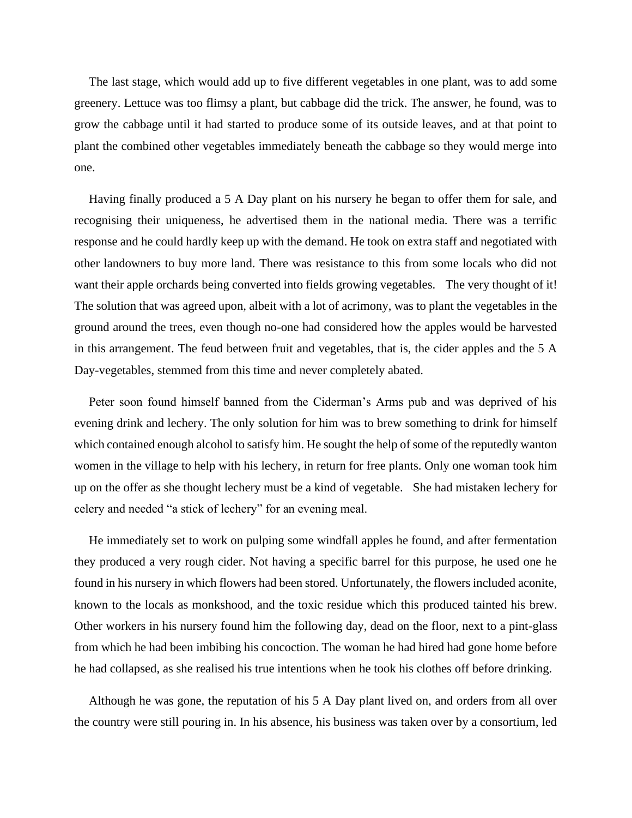The last stage, which would add up to five different vegetables in one plant, was to add some greenery. Lettuce was too flimsy a plant, but cabbage did the trick. The answer, he found, was to grow the cabbage until it had started to produce some of its outside leaves, and at that point to plant the combined other vegetables immediately beneath the cabbage so they would merge into one.

Having finally produced a 5 A Day plant on his nursery he began to offer them for sale, and recognising their uniqueness, he advertised them in the national media. There was a terrific response and he could hardly keep up with the demand. He took on extra staff and negotiated with other landowners to buy more land. There was resistance to this from some locals who did not want their apple orchards being converted into fields growing vegetables. The very thought of it! The solution that was agreed upon, albeit with a lot of acrimony, was to plant the vegetables in the ground around the trees, even though no-one had considered how the apples would be harvested in this arrangement. The feud between fruit and vegetables, that is, the cider apples and the 5 A Day-vegetables, stemmed from this time and never completely abated.

Peter soon found himself banned from the Ciderman's Arms pub and was deprived of his evening drink and lechery. The only solution for him was to brew something to drink for himself which contained enough alcohol to satisfy him. He sought the help of some of the reputedly wanton women in the village to help with his lechery, in return for free plants. Only one woman took him up on the offer as she thought lechery must be a kind of vegetable. She had mistaken lechery for celery and needed "a stick of lechery" for an evening meal.

He immediately set to work on pulping some windfall apples he found, and after fermentation they produced a very rough cider. Not having a specific barrel for this purpose, he used one he found in his nursery in which flowers had been stored. Unfortunately, the flowers included aconite, known to the locals as monkshood, and the toxic residue which this produced tainted his brew. Other workers in his nursery found him the following day, dead on the floor, next to a pint-glass from which he had been imbibing his concoction. The woman he had hired had gone home before he had collapsed, as she realised his true intentions when he took his clothes off before drinking.

Although he was gone, the reputation of his 5 A Day plant lived on, and orders from all over the country were still pouring in. In his absence, his business was taken over by a consortium, led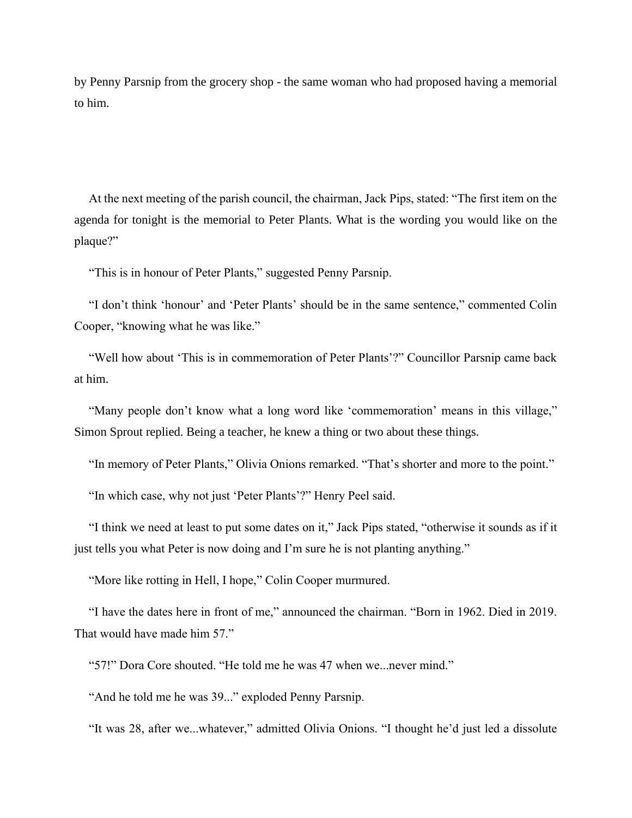by Penny Parsnip from the grocery shop - the same woman who had proposed having a memorial to him.

At the next meeting of the parish council, the chairman, Jack Pips, stated: "The first item on the agenda for tonight is the memorial to Peter Plants. What is the wording you would like on the plaque?"

"This is in honour of Peter Plants," suggested Penny Parsnip.

"I don't think 'honour' and 'Peter Plants' should be in the same sentence," commented Colin Cooper, "knowing what he was like."

"Well how about 'This is in commemoration of Peter Plants'?" Councillor Parsnip came back at him.

"Many people don't know what a long word like 'commemoration' means in this village," Simon Sprout replied. Being a teacher, he knew a thing or two about these things.

"In memory of Peter Plants," Olivia Onions remarked. "That's shorter and more to the point."

"In which case, why not just 'Peter Plants'?" Henry Peel said.

"I think we need at least to put some dates on it," Jack Pips stated, "otherwise it sounds as if it just tells you what Peter is now doing and I'm sure he is not planting anything."

"More like rotting in Hell, I hope," Colin Cooper murmured.

"I have the dates here in front of me," announced the chairman. "Born in 1962. Died in 2019. That would have made him 57."

"57!" Dora Core shouted. "He told me he was 47 when we...never mind."

"And he told me he was 39..." exploded Penny Parsnip.

"It was 28, after we...whatever," admitted Olivia Onions. "I thought he'd just led a dissolute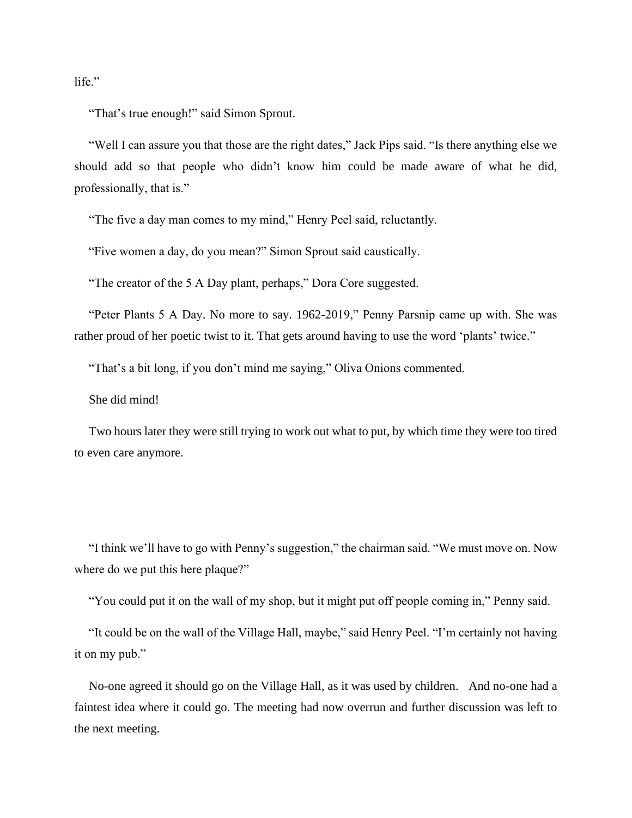life."

"That's true enough!" said Simon Sprout.

"Well I can assure you that those are the right dates," Jack Pips said. "Is there anything else we should add so that people who didn't know him could be made aware of what he did, professionally, that is."

"The five a day man comes to my mind," Henry Peel said, reluctantly.

"Five women a day, do you mean?" Simon Sprout said caustically.

"The creator of the 5 A Day plant, perhaps," Dora Core suggested.

"Peter Plants 5 A Day. No more to say. 1962-2019," Penny Parsnip came up with. She was rather proud of her poetic twist to it. That gets around having to use the word 'plants' twice."

"That's a bit long, if you don't mind me saying," Oliva Onions commented.

She did mind!

Two hours later they were still trying to work out what to put, by which time they were too tired to even care anymore.

"I think we'll have to go with Penny's suggestion," the chairman said. "We must move on. Now where do we put this here plaque?"

"You could put it on the wall of my shop, but it might put off people coming in," Penny said.

"It could be on the wall of the Village Hall, maybe," said Henry Peel. "I'm certainly not having it on my pub."

No-one agreed it should go on the Village Hall, as it was used by children. And no-one had a faintest idea where it could go. The meeting had now overrun and further discussion was left to the next meeting.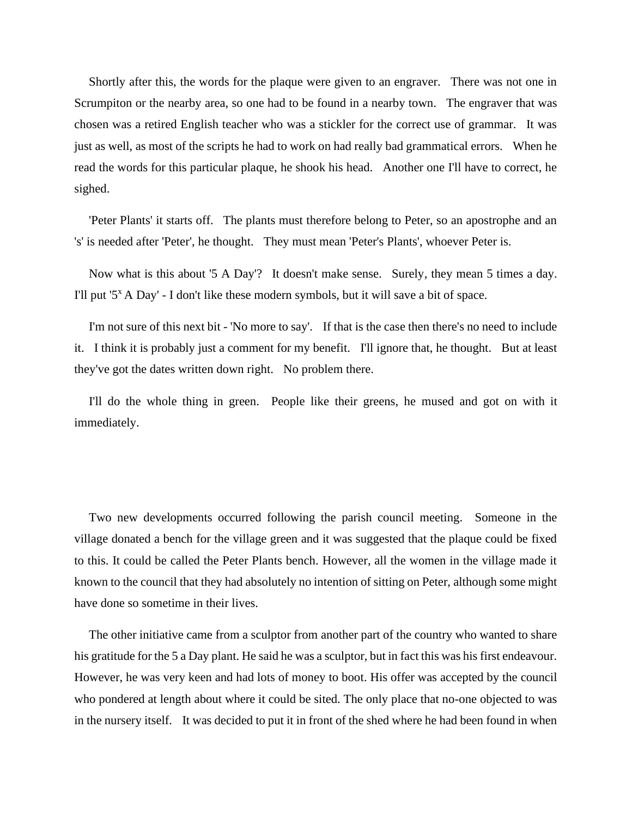Shortly after this, the words for the plaque were given to an engraver. There was not one in Scrumpiton or the nearby area, so one had to be found in a nearby town. The engraver that was chosen was a retired English teacher who was a stickler for the correct use of grammar. It was just as well, as most of the scripts he had to work on had really bad grammatical errors. When he read the words for this particular plaque, he shook his head. Another one I'll have to correct, he sighed.

'Peter Plants' it starts off. The plants must therefore belong to Peter, so an apostrophe and an 's' is needed after 'Peter', he thought. They must mean 'Peter's Plants', whoever Peter is.

Now what is this about '5 A Day'? It doesn't make sense. Surely, they mean 5 times a day. I'll put '5<sup>x</sup> A Day' - I don't like these modern symbols, but it will save a bit of space.

I'm not sure of this next bit - 'No more to say'. If that is the case then there's no need to include it. I think it is probably just a comment for my benefit. I'll ignore that, he thought. But at least they've got the dates written down right. No problem there.

I'll do the whole thing in green. People like their greens, he mused and got on with it immediately.

Two new developments occurred following the parish council meeting. Someone in the village donated a bench for the village green and it was suggested that the plaque could be fixed to this. It could be called the Peter Plants bench. However, all the women in the village made it known to the council that they had absolutely no intention of sitting on Peter, although some might have done so sometime in their lives.

The other initiative came from a sculptor from another part of the country who wanted to share his gratitude for the 5 a Day plant. He said he was a sculptor, but in fact this was his first endeavour. However, he was very keen and had lots of money to boot. His offer was accepted by the council who pondered at length about where it could be sited. The only place that no-one objected to was in the nursery itself. It was decided to put it in front of the shed where he had been found in when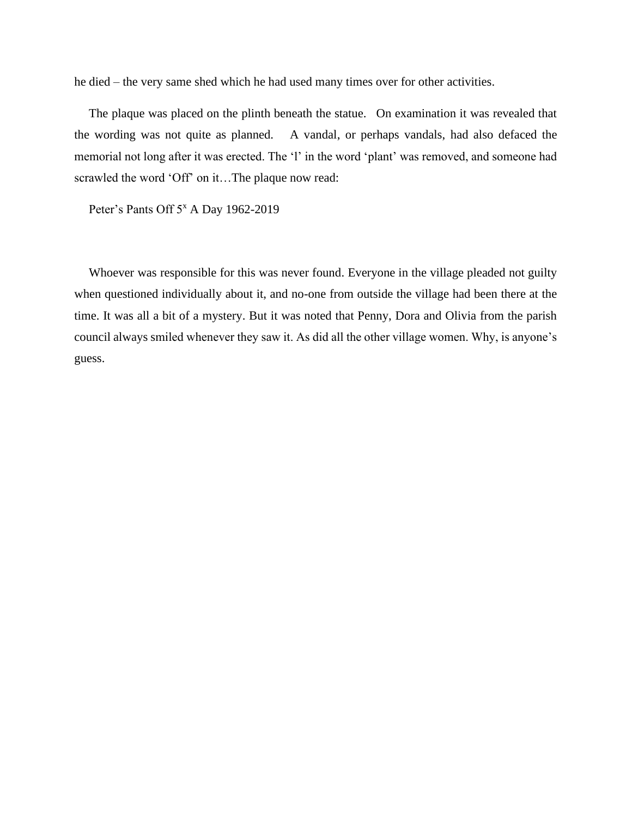he died – the very same shed which he had used many times over for other activities.

The plaque was placed on the plinth beneath the statue. On examination it was revealed that the wording was not quite as planned. A vandal, or perhaps vandals, had also defaced the memorial not long after it was erected. The 'l' in the word 'plant' was removed, and someone had scrawled the word 'Off' on it…The plaque now read:

Peter's Pants Off 5<sup>x</sup> A Day 1962-2019

Whoever was responsible for this was never found. Everyone in the village pleaded not guilty when questioned individually about it, and no-one from outside the village had been there at the time. It was all a bit of a mystery. But it was noted that Penny, Dora and Olivia from the parish council always smiled whenever they saw it. As did all the other village women. Why, is anyone's guess.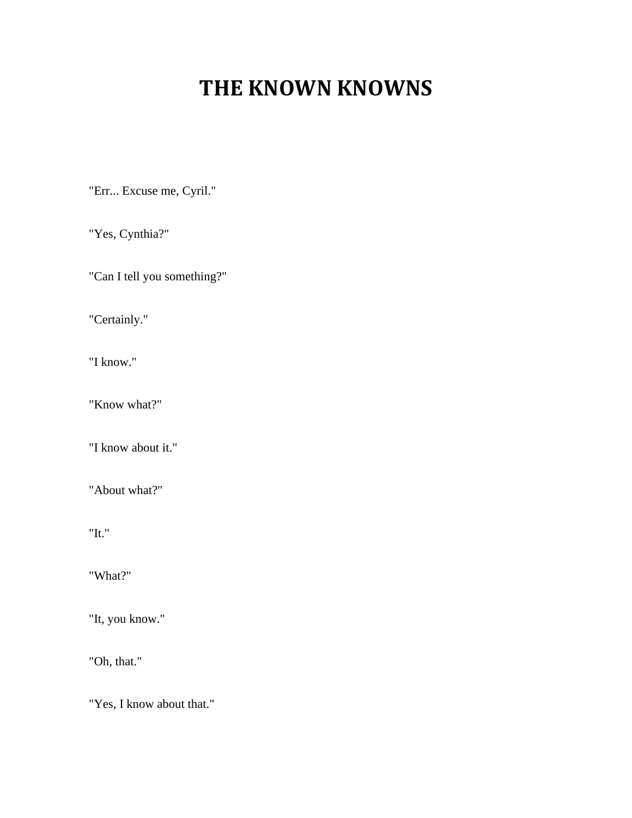# **THE KNOWN KNOWNS**

"Err... Excuse me, Cyril."

"Yes, Cynthia?"

"Can I tell you something?"

"Certainly."

"I know."

"Know what?"

"I know about it."

"About what?"

"It."

"What?"

"It, you know."

"Oh, that."

"Yes, I know about that."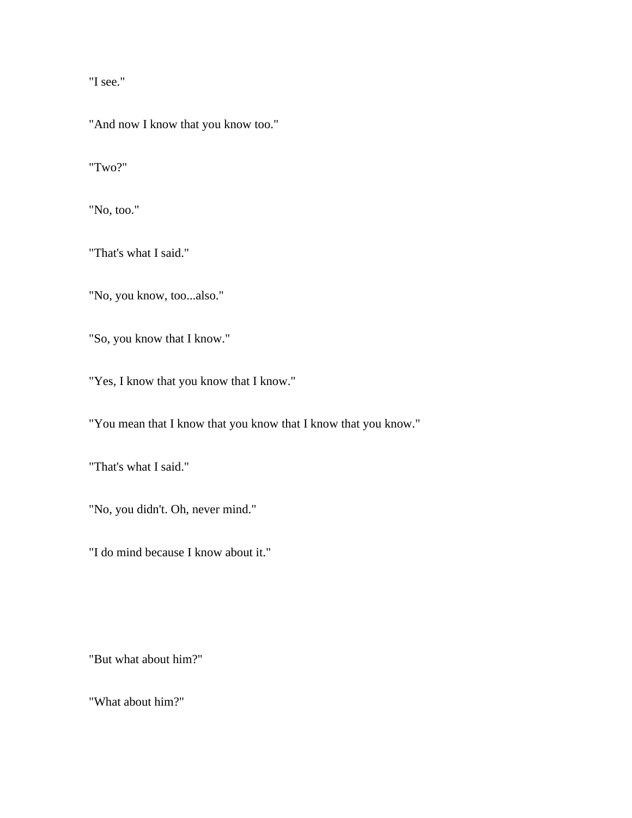"I see."

"And now I know that you know too."

"Two?"

"No, too."

"That's what I said."

"No, you know, too...also."

"So, you know that I know."

"Yes, I know that you know that I know."

"You mean that I know that you know that I know that you know."

"That's what I said."

"No, you didn't. Oh, never mind."

"I do mind because I know about it."

"But what about him?"

"What about him?"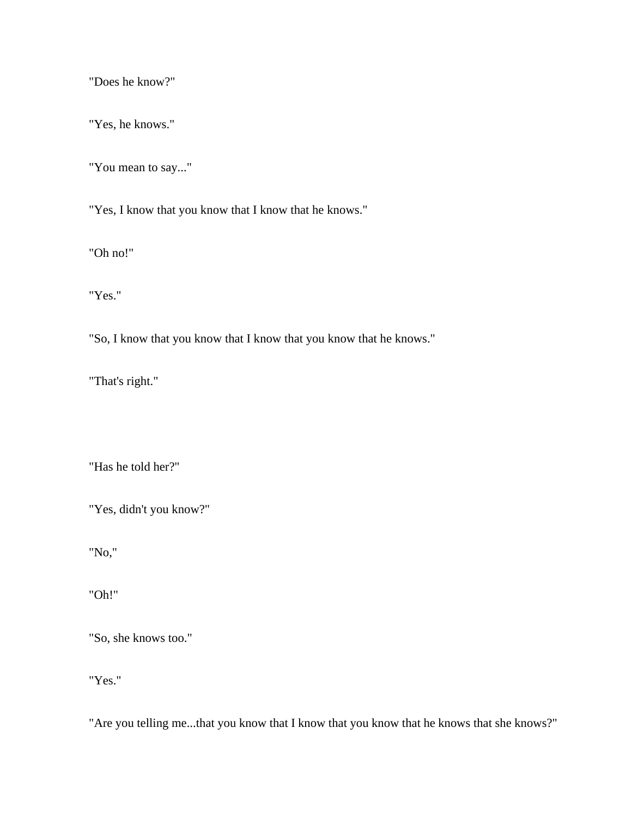"Does he know?"

"Yes, he knows."

"You mean to say..."

"Yes, I know that you know that I know that he knows."

"Oh no!"

"Yes."

"So, I know that you know that I know that you know that he knows."

"That's right."

"Has he told her?"

"Yes, didn't you know?"

"No,"

"Oh!"

"So, she knows too."

"Yes."

"Are you telling me...that you know that I know that you know that he knows that she knows?"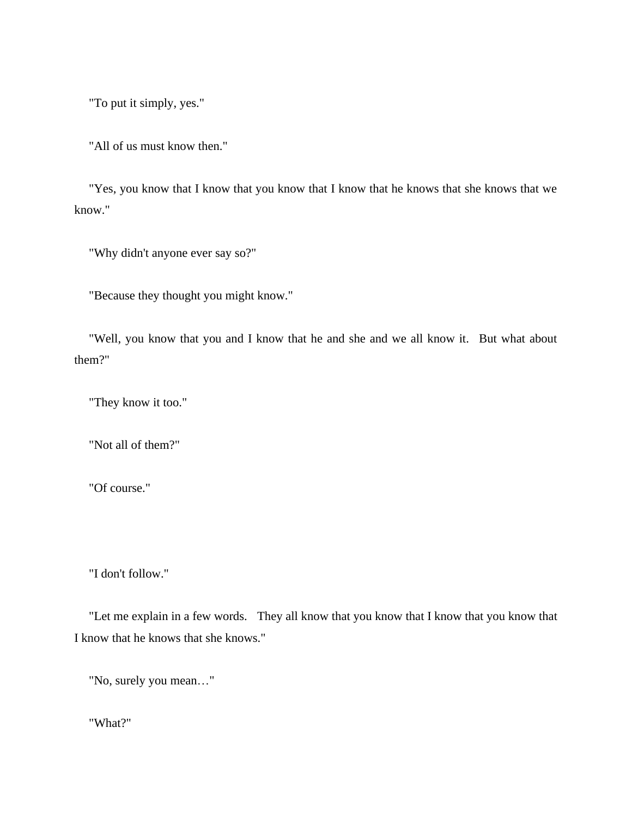"To put it simply, yes."

"All of us must know then."

"Yes, you know that I know that you know that I know that he knows that she knows that we know."

"Why didn't anyone ever say so?"

"Because they thought you might know."

"Well, you know that you and I know that he and she and we all know it. But what about them?"

"They know it too."

"Not all of them?"

"Of course."

"I don't follow."

"Let me explain in a few words. They all know that you know that I know that you know that I know that he knows that she knows."

"No, surely you mean…"

"What?"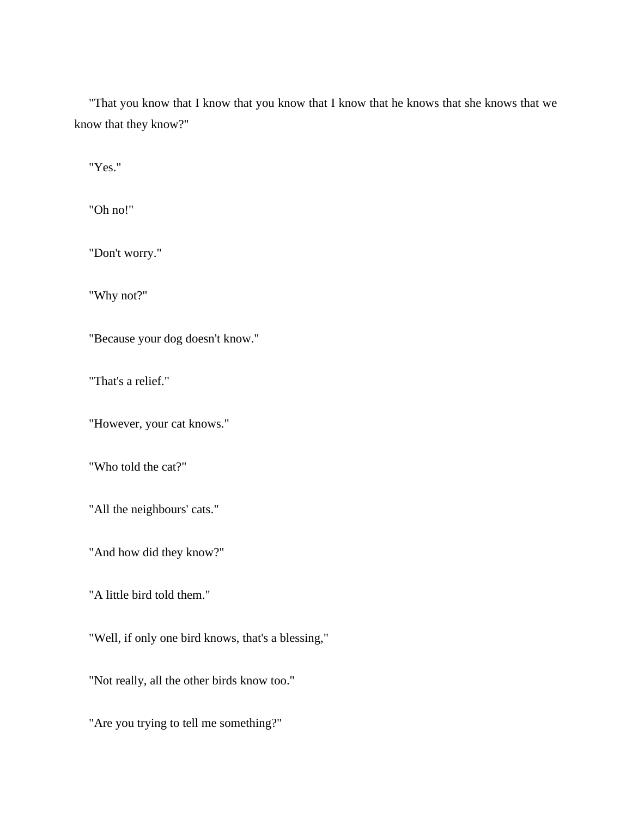"That you know that I know that you know that I know that he knows that she knows that we know that they know?"

"Yes."

"Oh no!"

"Don't worry."

"Why not?"

"Because your dog doesn't know."

"That's a relief."

"However, your cat knows."

"Who told the cat?"

"All the neighbours' cats."

"And how did they know?"

"A little bird told them."

"Well, if only one bird knows, that's a blessing,"

"Not really, all the other birds know too."

"Are you trying to tell me something?"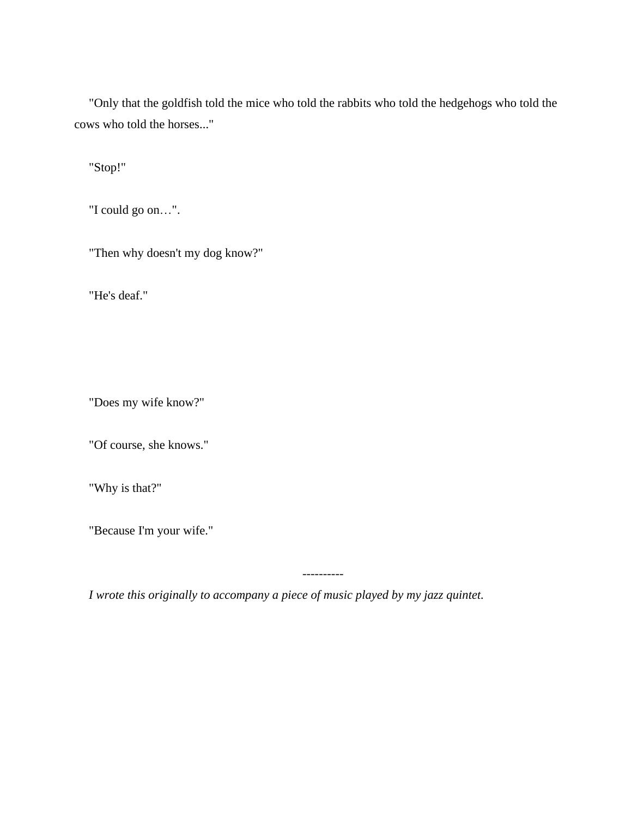"Only that the goldfish told the mice who told the rabbits who told the hedgehogs who told the cows who told the horses..."

"Stop!"

"I could go on…".

"Then why doesn't my dog know?"

"He's deaf."

"Does my wife know?"

"Of course, she knows."

"Why is that?"

"Because I'm your wife."

----------

*I wrote this originally to accompany a piece of music played by my jazz quintet.*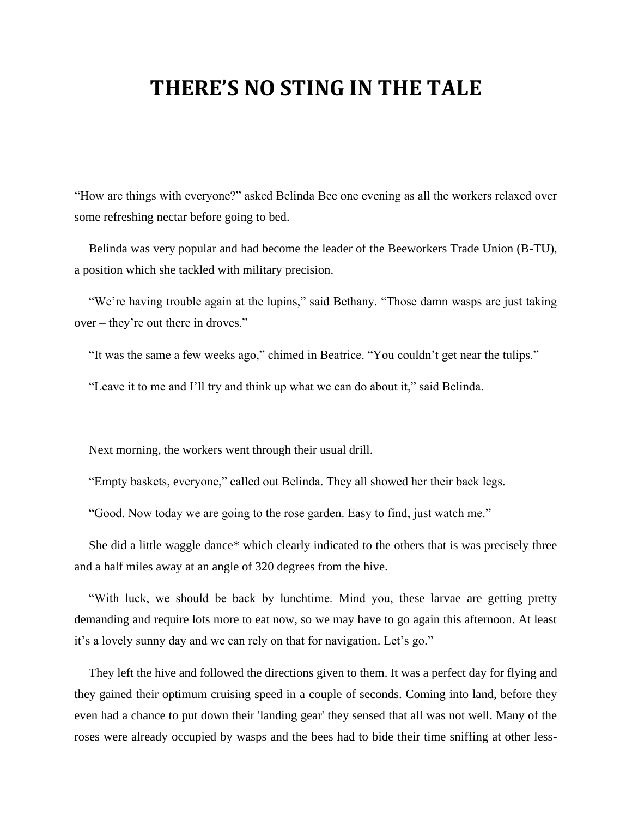## **THERE'S NO STING IN THE TALE**

"How are things with everyone?" asked Belinda Bee one evening as all the workers relaxed over some refreshing nectar before going to bed.

Belinda was very popular and had become the leader of the Beeworkers Trade Union (B-TU), a position which she tackled with military precision.

"We're having trouble again at the lupins," said Bethany. "Those damn wasps are just taking over – they're out there in droves."

"It was the same a few weeks ago," chimed in Beatrice. "You couldn't get near the tulips."

"Leave it to me and I'll try and think up what we can do about it," said Belinda.

Next morning, the workers went through their usual drill.

"Empty baskets, everyone," called out Belinda. They all showed her their back legs.

"Good. Now today we are going to the rose garden. Easy to find, just watch me."

She did a little waggle dance\* which clearly indicated to the others that is was precisely three and a half miles away at an angle of 320 degrees from the hive.

"With luck, we should be back by lunchtime. Mind you, these larvae are getting pretty demanding and require lots more to eat now, so we may have to go again this afternoon. At least it's a lovely sunny day and we can rely on that for navigation. Let's go."

They left the hive and followed the directions given to them. It was a perfect day for flying and they gained their optimum cruising speed in a couple of seconds. Coming into land, before they even had a chance to put down their 'landing gear' they sensed that all was not well. Many of the roses were already occupied by wasps and the bees had to bide their time sniffing at other less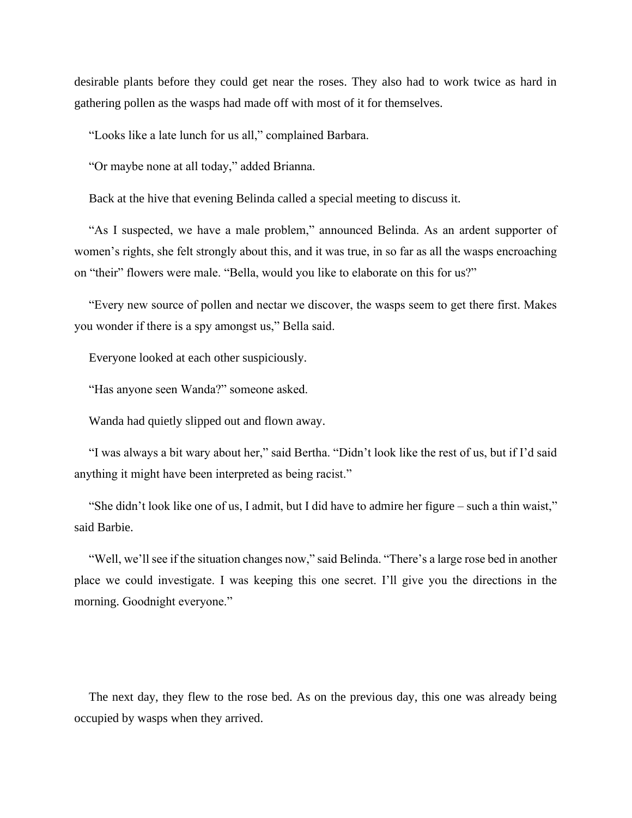desirable plants before they could get near the roses. They also had to work twice as hard in gathering pollen as the wasps had made off with most of it for themselves.

"Looks like a late lunch for us all," complained Barbara.

"Or maybe none at all today," added Brianna.

Back at the hive that evening Belinda called a special meeting to discuss it.

"As I suspected, we have a male problem," announced Belinda. As an ardent supporter of women's rights, she felt strongly about this, and it was true, in so far as all the wasps encroaching on "their" flowers were male. "Bella, would you like to elaborate on this for us?"

"Every new source of pollen and nectar we discover, the wasps seem to get there first. Makes you wonder if there is a spy amongst us," Bella said.

Everyone looked at each other suspiciously.

"Has anyone seen Wanda?" someone asked.

Wanda had quietly slipped out and flown away.

"I was always a bit wary about her," said Bertha. "Didn't look like the rest of us, but if I'd said anything it might have been interpreted as being racist."

"She didn't look like one of us, I admit, but I did have to admire her figure – such a thin waist," said Barbie.

"Well, we'll see if the situation changes now," said Belinda. "There's a large rose bed in another place we could investigate. I was keeping this one secret. I'll give you the directions in the morning. Goodnight everyone."

The next day, they flew to the rose bed. As on the previous day, this one was already being occupied by wasps when they arrived.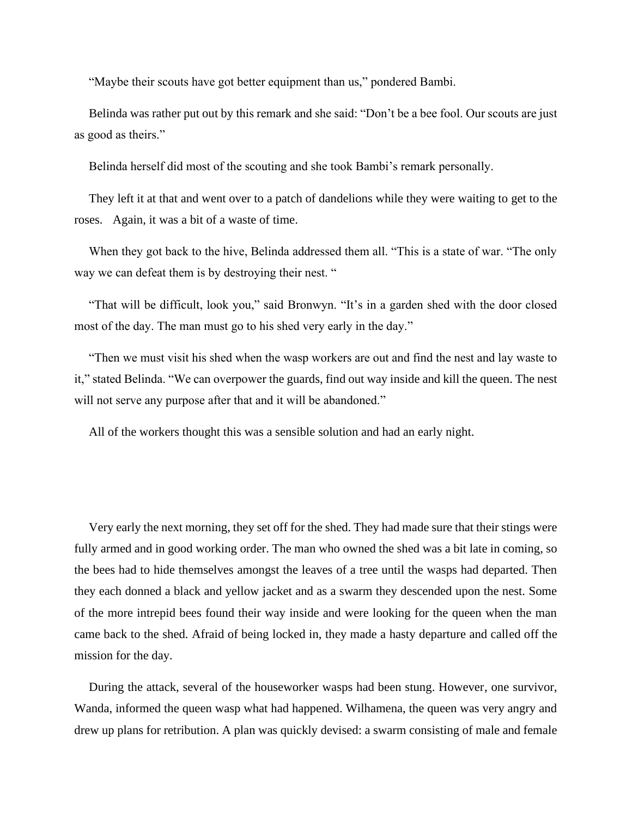"Maybe their scouts have got better equipment than us," pondered Bambi.

Belinda was rather put out by this remark and she said: "Don't be a bee fool. Our scouts are just as good as theirs."

Belinda herself did most of the scouting and she took Bambi's remark personally.

They left it at that and went over to a patch of dandelions while they were waiting to get to the roses. Again, it was a bit of a waste of time.

When they got back to the hive, Belinda addressed them all. "This is a state of war. "The only way we can defeat them is by destroying their nest. "

"That will be difficult, look you," said Bronwyn. "It's in a garden shed with the door closed most of the day. The man must go to his shed very early in the day."

"Then we must visit his shed when the wasp workers are out and find the nest and lay waste to it," stated Belinda. "We can overpower the guards, find out way inside and kill the queen. The nest will not serve any purpose after that and it will be abandoned."

All of the workers thought this was a sensible solution and had an early night.

Very early the next morning, they set off for the shed. They had made sure that their stings were fully armed and in good working order. The man who owned the shed was a bit late in coming, so the bees had to hide themselves amongst the leaves of a tree until the wasps had departed. Then they each donned a black and yellow jacket and as a swarm they descended upon the nest. Some of the more intrepid bees found their way inside and were looking for the queen when the man came back to the shed. Afraid of being locked in, they made a hasty departure and called off the mission for the day.

During the attack, several of the houseworker wasps had been stung. However, one survivor, Wanda, informed the queen wasp what had happened. Wilhamena, the queen was very angry and drew up plans for retribution. A plan was quickly devised: a swarm consisting of male and female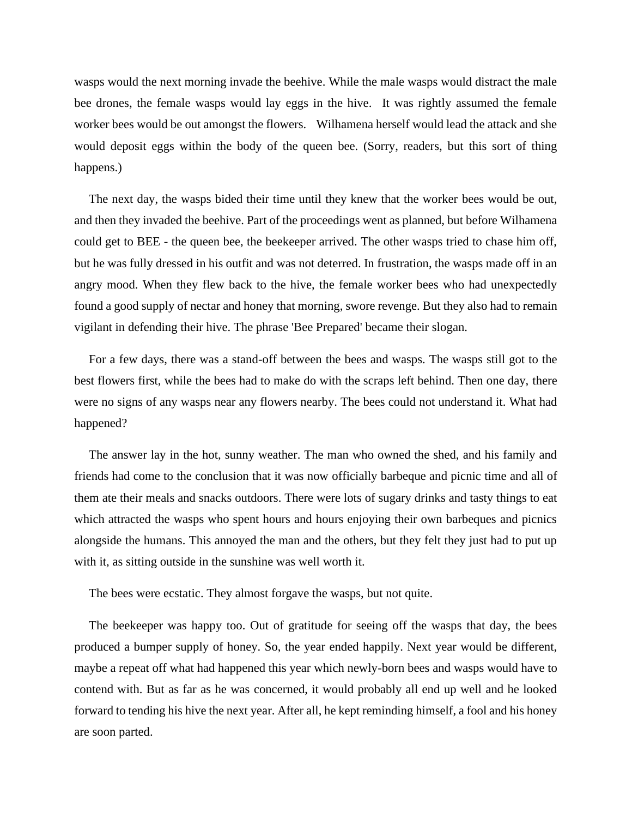wasps would the next morning invade the beehive. While the male wasps would distract the male bee drones, the female wasps would lay eggs in the hive. It was rightly assumed the female worker bees would be out amongst the flowers. Wilhamena herself would lead the attack and she would deposit eggs within the body of the queen bee. (Sorry, readers, but this sort of thing happens.)

The next day, the wasps bided their time until they knew that the worker bees would be out, and then they invaded the beehive. Part of the proceedings went as planned, but before Wilhamena could get to BEE - the queen bee, the beekeeper arrived. The other wasps tried to chase him off, but he was fully dressed in his outfit and was not deterred. In frustration, the wasps made off in an angry mood. When they flew back to the hive, the female worker bees who had unexpectedly found a good supply of nectar and honey that morning, swore revenge. But they also had to remain vigilant in defending their hive. The phrase 'Bee Prepared' became their slogan.

For a few days, there was a stand-off between the bees and wasps. The wasps still got to the best flowers first, while the bees had to make do with the scraps left behind. Then one day, there were no signs of any wasps near any flowers nearby. The bees could not understand it. What had happened?

The answer lay in the hot, sunny weather. The man who owned the shed, and his family and friends had come to the conclusion that it was now officially barbeque and picnic time and all of them ate their meals and snacks outdoors. There were lots of sugary drinks and tasty things to eat which attracted the wasps who spent hours and hours enjoying their own barbeques and picnics alongside the humans. This annoyed the man and the others, but they felt they just had to put up with it, as sitting outside in the sunshine was well worth it.

The bees were ecstatic. They almost forgave the wasps, but not quite.

The beekeeper was happy too. Out of gratitude for seeing off the wasps that day, the bees produced a bumper supply of honey. So, the year ended happily. Next year would be different, maybe a repeat off what had happened this year which newly-born bees and wasps would have to contend with. But as far as he was concerned, it would probably all end up well and he looked forward to tending his hive the next year. After all, he kept reminding himself, a fool and his honey are soon parted.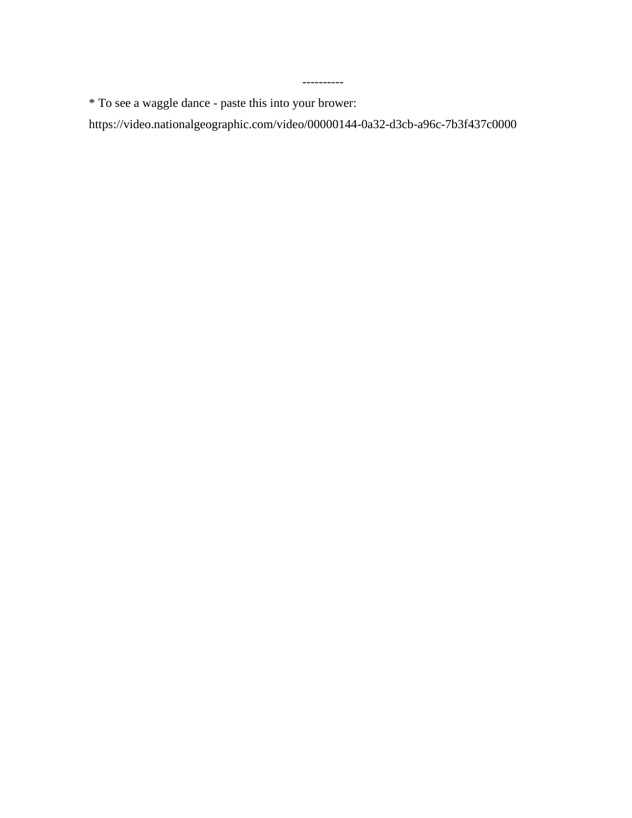\* To see a waggle dance - paste this into your brower:

https://video.nationalgeographic.com/video/00000144-0a32-d3cb-a96c-7b3f437c0000

----------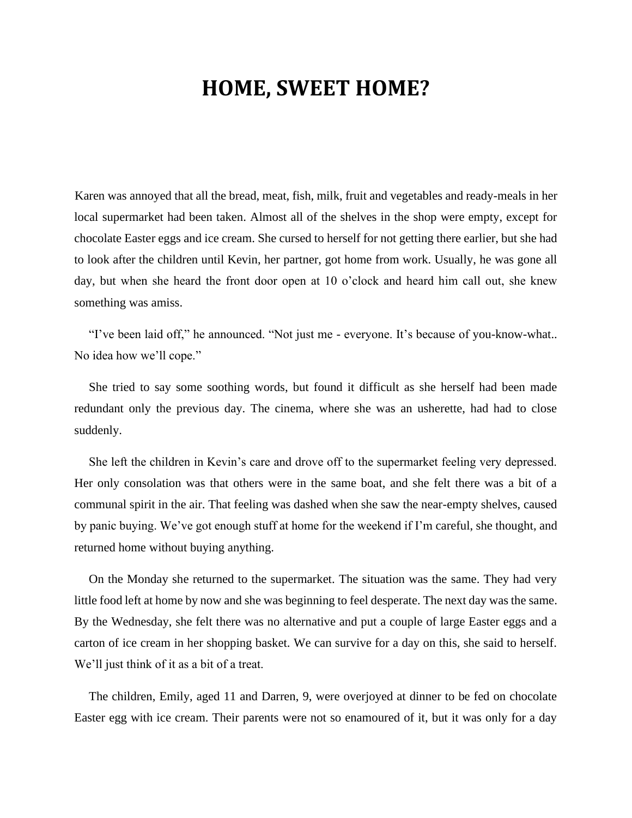### **HOME, SWEET HOME?**

Karen was annoyed that all the bread, meat, fish, milk, fruit and vegetables and ready-meals in her local supermarket had been taken. Almost all of the shelves in the shop were empty, except for chocolate Easter eggs and ice cream. She cursed to herself for not getting there earlier, but she had to look after the children until Kevin, her partner, got home from work. Usually, he was gone all day, but when she heard the front door open at 10 o'clock and heard him call out, she knew something was amiss.

"I've been laid off," he announced. "Not just me - everyone. It's because of you-know-what.. No idea how we'll cope."

She tried to say some soothing words, but found it difficult as she herself had been made redundant only the previous day. The cinema, where she was an usherette, had had to close suddenly.

She left the children in Kevin's care and drove off to the supermarket feeling very depressed. Her only consolation was that others were in the same boat, and she felt there was a bit of a communal spirit in the air. That feeling was dashed when she saw the near-empty shelves, caused by panic buying. We've got enough stuff at home for the weekend if I'm careful, she thought, and returned home without buying anything.

On the Monday she returned to the supermarket. The situation was the same. They had very little food left at home by now and she was beginning to feel desperate. The next day was the same. By the Wednesday, she felt there was no alternative and put a couple of large Easter eggs and a carton of ice cream in her shopping basket. We can survive for a day on this, she said to herself. We'll just think of it as a bit of a treat.

The children, Emily, aged 11 and Darren, 9, were overjoyed at dinner to be fed on chocolate Easter egg with ice cream. Their parents were not so enamoured of it, but it was only for a day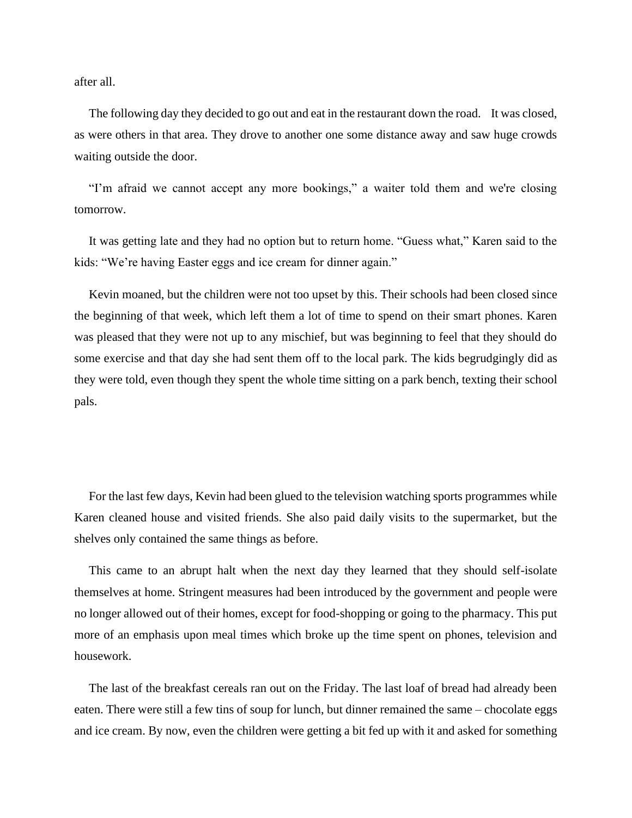after all.

The following day they decided to go out and eat in the restaurant down the road. It was closed, as were others in that area. They drove to another one some distance away and saw huge crowds waiting outside the door.

"I'm afraid we cannot accept any more bookings," a waiter told them and we're closing tomorrow.

It was getting late and they had no option but to return home. "Guess what," Karen said to the kids: "We're having Easter eggs and ice cream for dinner again."

Kevin moaned, but the children were not too upset by this. Their schools had been closed since the beginning of that week, which left them a lot of time to spend on their smart phones. Karen was pleased that they were not up to any mischief, but was beginning to feel that they should do some exercise and that day she had sent them off to the local park. The kids begrudgingly did as they were told, even though they spent the whole time sitting on a park bench, texting their school pals.

For the last few days, Kevin had been glued to the television watching sports programmes while Karen cleaned house and visited friends. She also paid daily visits to the supermarket, but the shelves only contained the same things as before.

This came to an abrupt halt when the next day they learned that they should self-isolate themselves at home. Stringent measures had been introduced by the government and people were no longer allowed out of their homes, except for food-shopping or going to the pharmacy. This put more of an emphasis upon meal times which broke up the time spent on phones, television and housework.

The last of the breakfast cereals ran out on the Friday. The last loaf of bread had already been eaten. There were still a few tins of soup for lunch, but dinner remained the same – chocolate eggs and ice cream. By now, even the children were getting a bit fed up with it and asked for something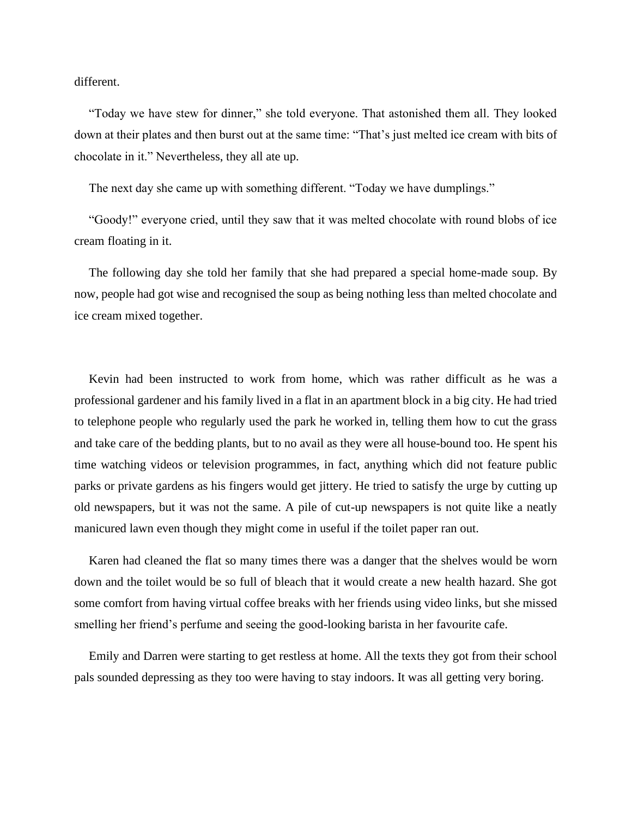different.

"Today we have stew for dinner," she told everyone. That astonished them all. They looked down at their plates and then burst out at the same time: "That's just melted ice cream with bits of chocolate in it." Nevertheless, they all ate up.

The next day she came up with something different. "Today we have dumplings."

"Goody!" everyone cried, until they saw that it was melted chocolate with round blobs of ice cream floating in it.

The following day she told her family that she had prepared a special home-made soup. By now, people had got wise and recognised the soup as being nothing less than melted chocolate and ice cream mixed together.

Kevin had been instructed to work from home, which was rather difficult as he was a professional gardener and his family lived in a flat in an apartment block in a big city. He had tried to telephone people who regularly used the park he worked in, telling them how to cut the grass and take care of the bedding plants, but to no avail as they were all house-bound too. He spent his time watching videos or television programmes, in fact, anything which did not feature public parks or private gardens as his fingers would get jittery. He tried to satisfy the urge by cutting up old newspapers, but it was not the same. A pile of cut-up newspapers is not quite like a neatly manicured lawn even though they might come in useful if the toilet paper ran out.

Karen had cleaned the flat so many times there was a danger that the shelves would be worn down and the toilet would be so full of bleach that it would create a new health hazard. She got some comfort from having virtual coffee breaks with her friends using video links, but she missed smelling her friend's perfume and seeing the good-looking barista in her favourite cafe.

Emily and Darren were starting to get restless at home. All the texts they got from their school pals sounded depressing as they too were having to stay indoors. It was all getting very boring.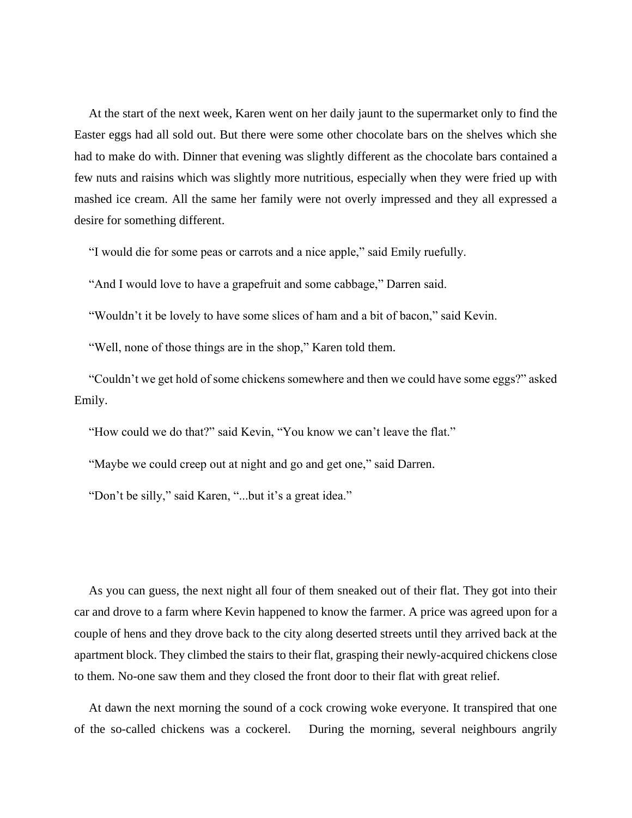At the start of the next week, Karen went on her daily jaunt to the supermarket only to find the Easter eggs had all sold out. But there were some other chocolate bars on the shelves which she had to make do with. Dinner that evening was slightly different as the chocolate bars contained a few nuts and raisins which was slightly more nutritious, especially when they were fried up with mashed ice cream. All the same her family were not overly impressed and they all expressed a desire for something different.

"I would die for some peas or carrots and a nice apple," said Emily ruefully.

"And I would love to have a grapefruit and some cabbage," Darren said.

"Wouldn't it be lovely to have some slices of ham and a bit of bacon," said Kevin.

"Well, none of those things are in the shop," Karen told them.

"Couldn't we get hold of some chickens somewhere and then we could have some eggs?" asked Emily.

"How could we do that?" said Kevin, "You know we can't leave the flat."

"Maybe we could creep out at night and go and get one," said Darren.

"Don't be silly," said Karen, "...but it's a great idea."

As you can guess, the next night all four of them sneaked out of their flat. They got into their car and drove to a farm where Kevin happened to know the farmer. A price was agreed upon for a couple of hens and they drove back to the city along deserted streets until they arrived back at the apartment block. They climbed the stairs to their flat, grasping their newly-acquired chickens close to them. No-one saw them and they closed the front door to their flat with great relief.

At dawn the next morning the sound of a cock crowing woke everyone. It transpired that one of the so-called chickens was a cockerel. During the morning, several neighbours angrily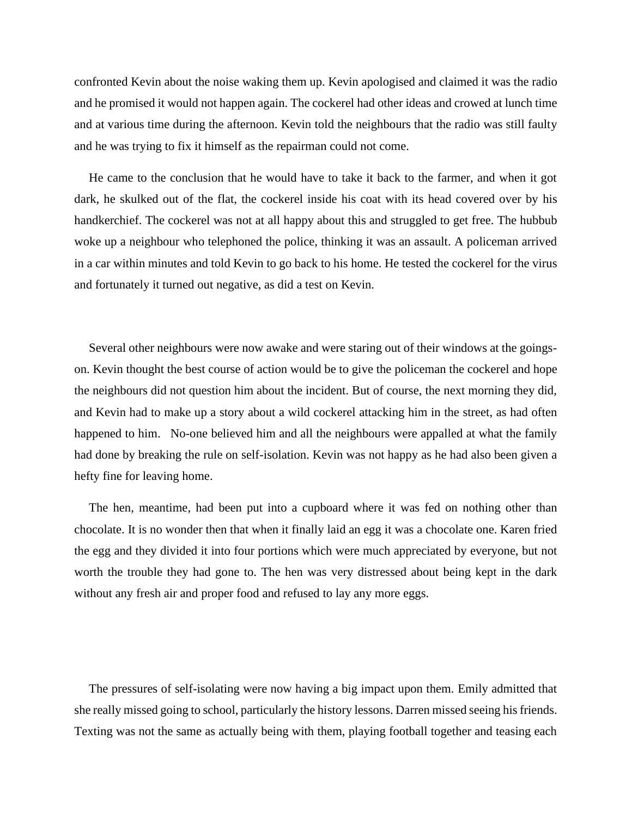confronted Kevin about the noise waking them up. Kevin apologised and claimed it was the radio and he promised it would not happen again. The cockerel had other ideas and crowed at lunch time and at various time during the afternoon. Kevin told the neighbours that the radio was still faulty and he was trying to fix it himself as the repairman could not come.

He came to the conclusion that he would have to take it back to the farmer, and when it got dark, he skulked out of the flat, the cockerel inside his coat with its head covered over by his handkerchief. The cockerel was not at all happy about this and struggled to get free. The hubbub woke up a neighbour who telephoned the police, thinking it was an assault. A policeman arrived in a car within minutes and told Kevin to go back to his home. He tested the cockerel for the virus and fortunately it turned out negative, as did a test on Kevin.

Several other neighbours were now awake and were staring out of their windows at the goingson. Kevin thought the best course of action would be to give the policeman the cockerel and hope the neighbours did not question him about the incident. But of course, the next morning they did, and Kevin had to make up a story about a wild cockerel attacking him in the street, as had often happened to him. No-one believed him and all the neighbours were appalled at what the family had done by breaking the rule on self-isolation. Kevin was not happy as he had also been given a hefty fine for leaving home.

The hen, meantime, had been put into a cupboard where it was fed on nothing other than chocolate. It is no wonder then that when it finally laid an egg it was a chocolate one. Karen fried the egg and they divided it into four portions which were much appreciated by everyone, but not worth the trouble they had gone to. The hen was very distressed about being kept in the dark without any fresh air and proper food and refused to lay any more eggs.

The pressures of self-isolating were now having a big impact upon them. Emily admitted that she really missed going to school, particularly the history lessons. Darren missed seeing his friends. Texting was not the same as actually being with them, playing football together and teasing each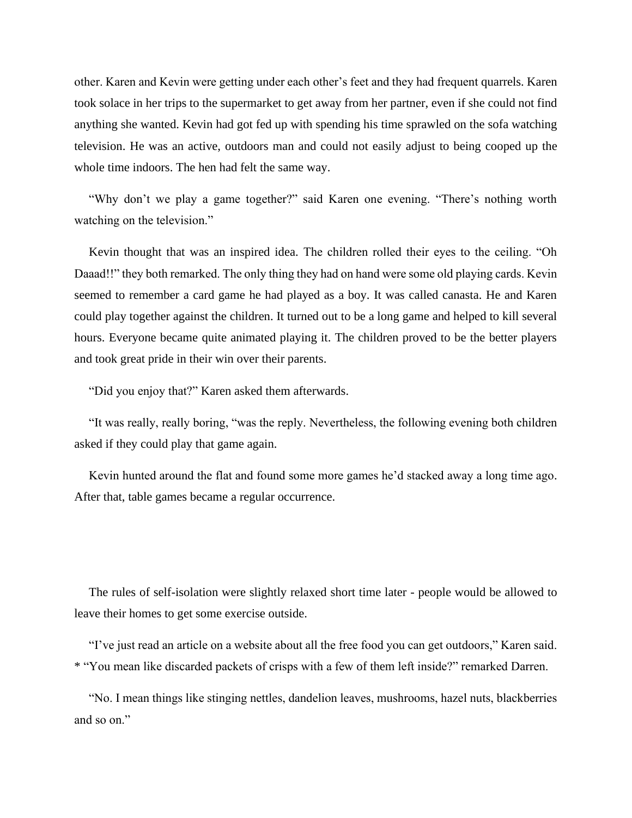other. Karen and Kevin were getting under each other's feet and they had frequent quarrels. Karen took solace in her trips to the supermarket to get away from her partner, even if she could not find anything she wanted. Kevin had got fed up with spending his time sprawled on the sofa watching television. He was an active, outdoors man and could not easily adjust to being cooped up the whole time indoors. The hen had felt the same way.

"Why don't we play a game together?" said Karen one evening. "There's nothing worth watching on the television."

Kevin thought that was an inspired idea. The children rolled their eyes to the ceiling. "Oh Daaad!!" they both remarked. The only thing they had on hand were some old playing cards. Kevin seemed to remember a card game he had played as a boy. It was called canasta. He and Karen could play together against the children. It turned out to be a long game and helped to kill several hours. Everyone became quite animated playing it. The children proved to be the better players and took great pride in their win over their parents.

"Did you enjoy that?" Karen asked them afterwards.

"It was really, really boring, "was the reply. Nevertheless, the following evening both children asked if they could play that game again.

Kevin hunted around the flat and found some more games he'd stacked away a long time ago. After that, table games became a regular occurrence.

The rules of self-isolation were slightly relaxed short time later - people would be allowed to leave their homes to get some exercise outside.

"I've just read an article on a website about all the free food you can get outdoors," Karen said. \* "You mean like discarded packets of crisps with a few of them left inside?" remarked Darren.

"No. I mean things like stinging nettles, dandelion leaves, mushrooms, hazel nuts, blackberries and so on."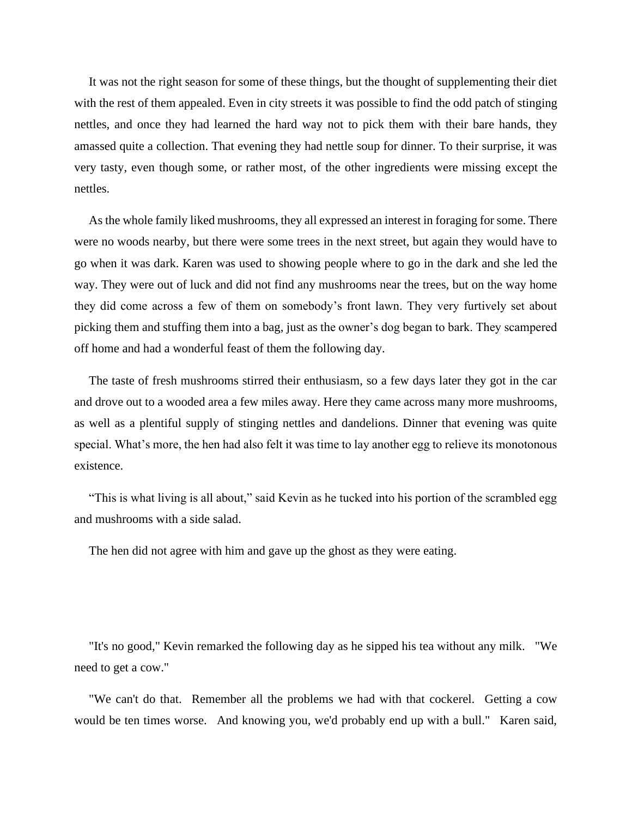It was not the right season for some of these things, but the thought of supplementing their diet with the rest of them appealed. Even in city streets it was possible to find the odd patch of stinging nettles, and once they had learned the hard way not to pick them with their bare hands, they amassed quite a collection. That evening they had nettle soup for dinner. To their surprise, it was very tasty, even though some, or rather most, of the other ingredients were missing except the nettles.

As the whole family liked mushrooms, they all expressed an interest in foraging for some. There were no woods nearby, but there were some trees in the next street, but again they would have to go when it was dark. Karen was used to showing people where to go in the dark and she led the way. They were out of luck and did not find any mushrooms near the trees, but on the way home they did come across a few of them on somebody's front lawn. They very furtively set about picking them and stuffing them into a bag, just as the owner's dog began to bark. They scampered off home and had a wonderful feast of them the following day.

The taste of fresh mushrooms stirred their enthusiasm, so a few days later they got in the car and drove out to a wooded area a few miles away. Here they came across many more mushrooms, as well as a plentiful supply of stinging nettles and dandelions. Dinner that evening was quite special. What's more, the hen had also felt it was time to lay another egg to relieve its monotonous existence.

"This is what living is all about," said Kevin as he tucked into his portion of the scrambled egg and mushrooms with a side salad.

The hen did not agree with him and gave up the ghost as they were eating.

"It's no good," Kevin remarked the following day as he sipped his tea without any milk. "We need to get a cow."

"We can't do that. Remember all the problems we had with that cockerel. Getting a cow would be ten times worse. And knowing you, we'd probably end up with a bull." Karen said,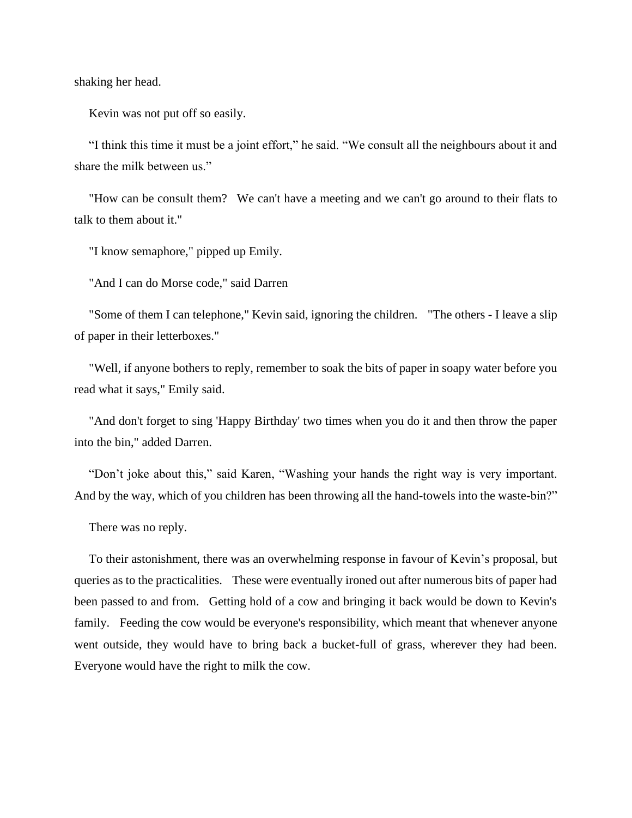shaking her head.

Kevin was not put off so easily.

"I think this time it must be a joint effort," he said. "We consult all the neighbours about it and share the milk between us."

"How can be consult them? We can't have a meeting and we can't go around to their flats to talk to them about it."

"I know semaphore," pipped up Emily.

"And I can do Morse code," said Darren

"Some of them I can telephone," Kevin said, ignoring the children. "The others - I leave a slip of paper in their letterboxes."

"Well, if anyone bothers to reply, remember to soak the bits of paper in soapy water before you read what it says," Emily said.

"And don't forget to sing 'Happy Birthday' two times when you do it and then throw the paper into the bin," added Darren.

"Don't joke about this," said Karen, "Washing your hands the right way is very important. And by the way, which of you children has been throwing all the hand-towels into the waste-bin?"

There was no reply.

To their astonishment, there was an overwhelming response in favour of Kevin's proposal, but queries as to the practicalities. These were eventually ironed out after numerous bits of paper had been passed to and from. Getting hold of a cow and bringing it back would be down to Kevin's family. Feeding the cow would be everyone's responsibility, which meant that whenever anyone went outside, they would have to bring back a bucket-full of grass, wherever they had been. Everyone would have the right to milk the cow.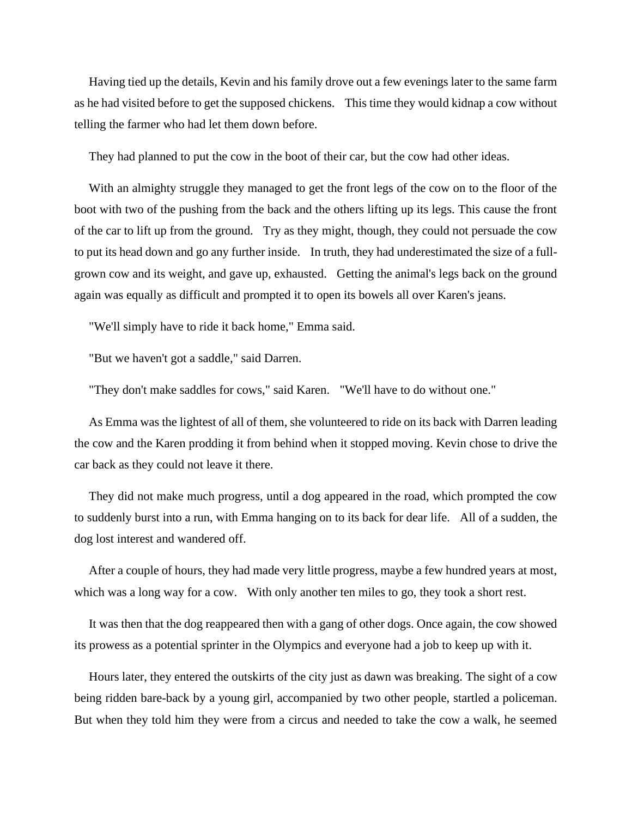Having tied up the details, Kevin and his family drove out a few evenings later to the same farm as he had visited before to get the supposed chickens. This time they would kidnap a cow without telling the farmer who had let them down before.

They had planned to put the cow in the boot of their car, but the cow had other ideas.

With an almighty struggle they managed to get the front legs of the cow on to the floor of the boot with two of the pushing from the back and the others lifting up its legs. This cause the front of the car to lift up from the ground. Try as they might, though, they could not persuade the cow to put its head down and go any further inside. In truth, they had underestimated the size of a fullgrown cow and its weight, and gave up, exhausted. Getting the animal's legs back on the ground again was equally as difficult and prompted it to open its bowels all over Karen's jeans.

"We'll simply have to ride it back home," Emma said.

"But we haven't got a saddle," said Darren.

"They don't make saddles for cows," said Karen. "We'll have to do without one."

As Emma was the lightest of all of them, she volunteered to ride on its back with Darren leading the cow and the Karen prodding it from behind when it stopped moving. Kevin chose to drive the car back as they could not leave it there.

They did not make much progress, until a dog appeared in the road, which prompted the cow to suddenly burst into a run, with Emma hanging on to its back for dear life. All of a sudden, the dog lost interest and wandered off.

After a couple of hours, they had made very little progress, maybe a few hundred years at most, which was a long way for a cow. With only another ten miles to go, they took a short rest.

It was then that the dog reappeared then with a gang of other dogs. Once again, the cow showed its prowess as a potential sprinter in the Olympics and everyone had a job to keep up with it.

Hours later, they entered the outskirts of the city just as dawn was breaking. The sight of a cow being ridden bare-back by a young girl, accompanied by two other people, startled a policeman. But when they told him they were from a circus and needed to take the cow a walk, he seemed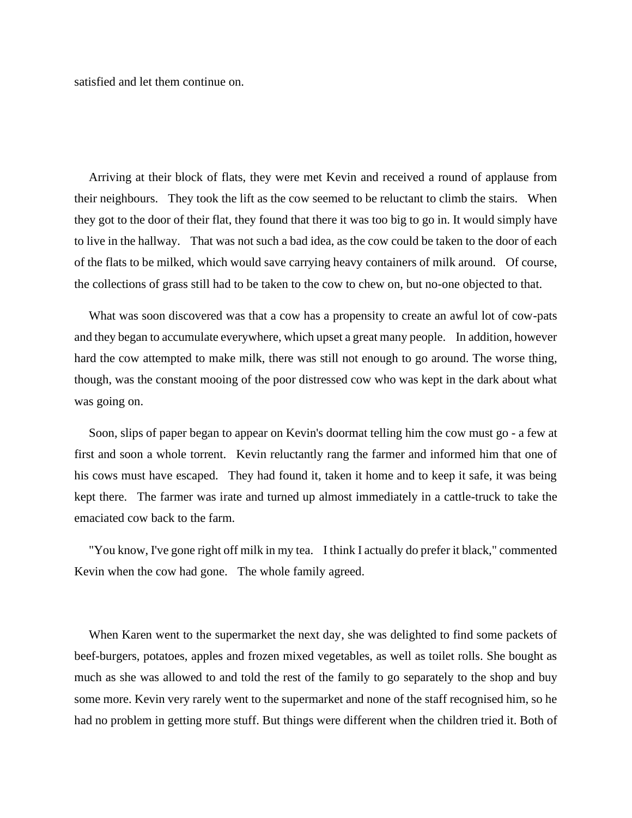satisfied and let them continue on.

Arriving at their block of flats, they were met Kevin and received a round of applause from their neighbours. They took the lift as the cow seemed to be reluctant to climb the stairs. When they got to the door of their flat, they found that there it was too big to go in. It would simply have to live in the hallway. That was not such a bad idea, as the cow could be taken to the door of each of the flats to be milked, which would save carrying heavy containers of milk around. Of course, the collections of grass still had to be taken to the cow to chew on, but no-one objected to that.

What was soon discovered was that a cow has a propensity to create an awful lot of cow-pats and they began to accumulate everywhere, which upset a great many people. In addition, however hard the cow attempted to make milk, there was still not enough to go around. The worse thing, though, was the constant mooing of the poor distressed cow who was kept in the dark about what was going on.

Soon, slips of paper began to appear on Kevin's doormat telling him the cow must go - a few at first and soon a whole torrent. Kevin reluctantly rang the farmer and informed him that one of his cows must have escaped. They had found it, taken it home and to keep it safe, it was being kept there. The farmer was irate and turned up almost immediately in a cattle-truck to take the emaciated cow back to the farm.

"You know, I've gone right off milk in my tea. I think I actually do prefer it black," commented Kevin when the cow had gone. The whole family agreed.

When Karen went to the supermarket the next day, she was delighted to find some packets of beef-burgers, potatoes, apples and frozen mixed vegetables, as well as toilet rolls. She bought as much as she was allowed to and told the rest of the family to go separately to the shop and buy some more. Kevin very rarely went to the supermarket and none of the staff recognised him, so he had no problem in getting more stuff. But things were different when the children tried it. Both of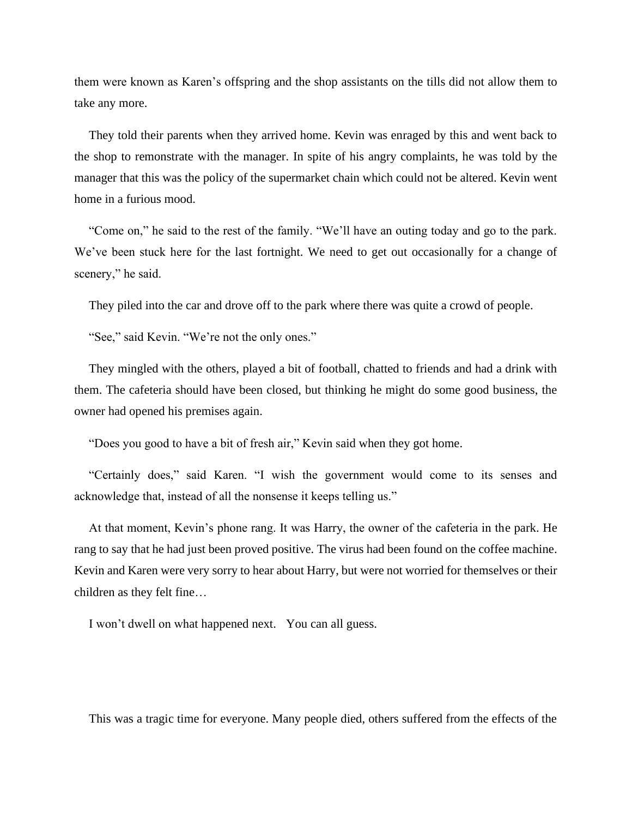them were known as Karen's offspring and the shop assistants on the tills did not allow them to take any more.

They told their parents when they arrived home. Kevin was enraged by this and went back to the shop to remonstrate with the manager. In spite of his angry complaints, he was told by the manager that this was the policy of the supermarket chain which could not be altered. Kevin went home in a furious mood.

"Come on," he said to the rest of the family. "We'll have an outing today and go to the park. We've been stuck here for the last fortnight. We need to get out occasionally for a change of scenery," he said.

They piled into the car and drove off to the park where there was quite a crowd of people.

"See," said Kevin. "We're not the only ones."

They mingled with the others, played a bit of football, chatted to friends and had a drink with them. The cafeteria should have been closed, but thinking he might do some good business, the owner had opened his premises again.

"Does you good to have a bit of fresh air," Kevin said when they got home.

"Certainly does," said Karen. "I wish the government would come to its senses and acknowledge that, instead of all the nonsense it keeps telling us."

At that moment, Kevin's phone rang. It was Harry, the owner of the cafeteria in the park. He rang to say that he had just been proved positive. The virus had been found on the coffee machine. Kevin and Karen were very sorry to hear about Harry, but were not worried for themselves or their children as they felt fine…

I won't dwell on what happened next. You can all guess.

This was a tragic time for everyone. Many people died, others suffered from the effects of the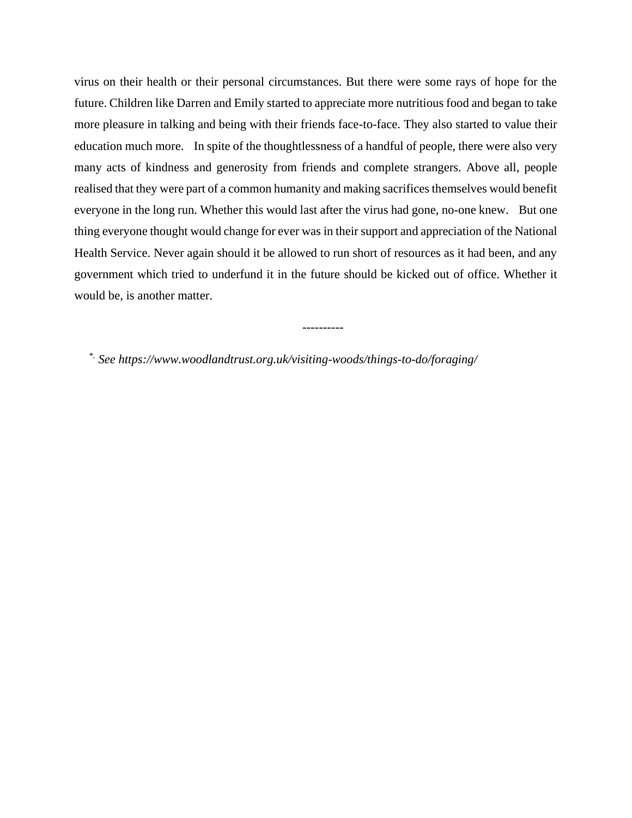virus on their health or their personal circumstances. But there were some rays of hope for the future. Children like Darren and Emily started to appreciate more nutritious food and began to take more pleasure in talking and being with their friends face-to-face. They also started to value their education much more. In spite of the thoughtlessness of a handful of people, there were also very many acts of kindness and generosity from friends and complete strangers. Above all, people realised that they were part of a common humanity and making sacrifices themselves would benefit everyone in the long run. Whether this would last after the virus had gone, no-one knew. But one thing everyone thought would change for ever was in their support and appreciation of the National Health Service. Never again should it be allowed to run short of resources as it had been, and any government which tried to underfund it in the future should be kicked out of office. Whether it would be, is another matter.

----------

*\*. See https://www.woodlandtrust.org.uk/visiting-woods/things-to-do/foraging/*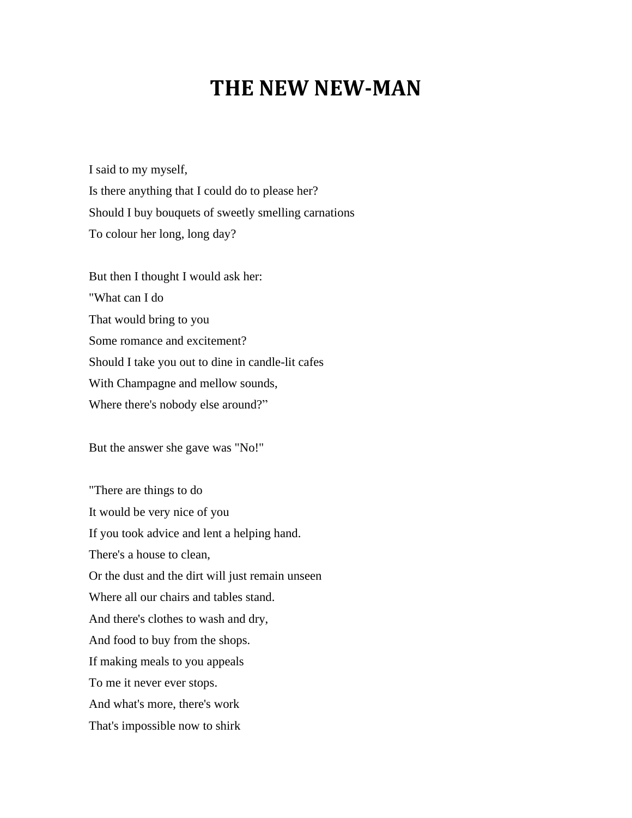## **THE NEW NEW-MAN**

I said to my myself, Is there anything that I could do to please her? Should I buy bouquets of sweetly smelling carnations To colour her long, long day?

But then I thought I would ask her: "What can I do That would bring to you Some romance and excitement? Should I take you out to dine in candle-lit cafes With Champagne and mellow sounds, Where there's nobody else around?"

But the answer she gave was "No!"

"There are things to do It would be very nice of you If you took advice and lent a helping hand. There's a house to clean, Or the dust and the dirt will just remain unseen Where all our chairs and tables stand. And there's clothes to wash and dry, And food to buy from the shops. If making meals to you appeals To me it never ever stops. And what's more, there's work That's impossible now to shirk